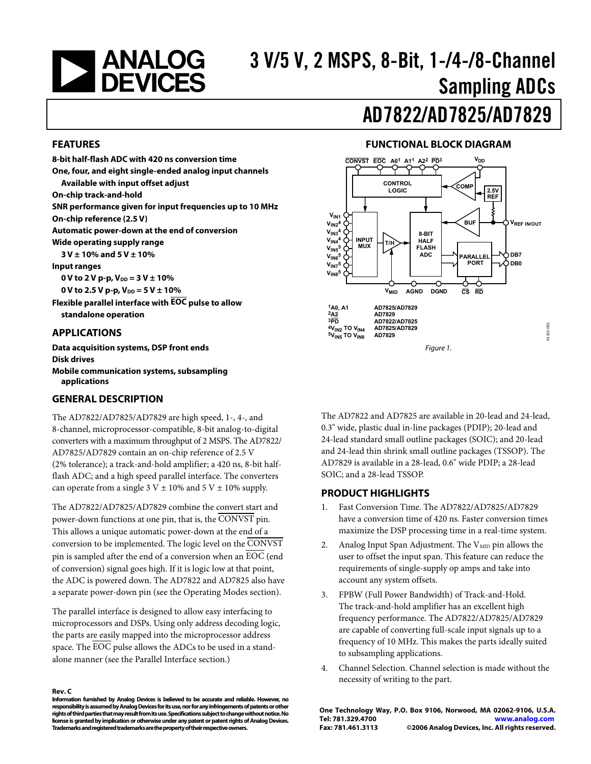<span id="page-0-0"></span>

# 3 V/5 V, 2 MSPS, 8-Bit, 1-/4-/8-Channel Sampling ADCs

# AD7822/AD7825/AD7829

#### **FEATURES**

**8-bit half-flash ADC with 420 ns conversion time One, four, and eight single-ended analog input channels Available with input offset adjust On-chip track-and-hold SNR performance given for input frequencies up to 10 MHz On-chip reference (2.5 V) Automatic power-down at the end of conversion Wide operating supply range 3 V ± 10% and 5 V ± 10% Input ranges**   $0 V$  to  $2 V$  p-p,  $V_{DD} = 3 V \pm 10\%$ 0 V to 2.5 V p-p,  $V_{DD} = 5$  V  $\pm$  10% **Flexible parallel interface with EOC pulse to allow standalone operation** 

#### **APPLICATIONS**

**Data acquisition systems, DSP front ends Disk drives Mobile communication systems, subsampling applications** 

#### **GENERAL DESCRIPTION**

The AD7822/AD7825/AD7829 are high speed, 1-, 4-, and 8-channel, microprocessor-compatible, 8-bit analog-to-digital converters with a maximum throughput of 2 MSPS. The AD7822/ AD7825/AD7829 contain an on-chip reference of 2.5 V (2% tolerance); a track-and-hold amplifier; a 420 ns, 8-bit halfflash ADC; and a high speed parallel interface. The converters can operate from a single  $3 V \pm 10\%$  and  $5 V \pm 10\%$  supply.

The AD7822/AD7825/AD7829 combine the convert start and power-down functions at one pin, that is, the CONVST pin. This allows a unique automatic power-down at the end of a conversion to be implemented. The logic level on the CONVST pin is sampled after the end of a conversion when an  $\overline{EOC}$  (end of conversion) signal goes high. If it is logic low at that point, the ADC is powered down. The AD7822 and AD7825 also have a separate power-down pin (see the [Operating Modes](#page-14-0) section).

The parallel interface is designed to allow easy interfacing to microprocessors and DSPs. Using only address decoding logic, the parts are easily mapped into the microprocessor address space. The EOC pulse allows the ADCs to be used in a standalone manner (see the [Parallel Interface](#page-16-0) section.)

#### **Rev. C**

**Information furnished by Analog Devices is believed to be accurate and reliable. However, no responsibility is assumed by Analog Devices for its use, nor for any infringements of patents or other rights of third parties that may result from its use. Specifications subject to change without notice. No license is granted by implication or otherwise under any patent or patent rights of Analog Devices. Trademarks and registered trademarks are the property of their respective owners.** 

### **FUNCTIONAL BLOCK DIAGRAM**



The AD7822 and AD7825 are available in 20-lead and 24-lead, 0.3" wide, plastic dual in-line packages (PDIP); 20-lead and 24-lead standard small outline packages (SOIC); and 20-lead and 24-lead thin shrink small outline packages (TSSOP). The AD7829 is available in a 28-lead, 0.6" wide PDIP; a 28-lead SOIC; and a 28-lead TSSOP.

#### **PRODUCT HIGHLIGHTS**

- 1. Fast Conversion Time. The AD7822/AD7825/AD7829 have a conversion time of 420 ns. Faster conversion times maximize the DSP processing time in a real-time system.
- 2. Analog Input Span Adjustment. The  $V_{\text{MID}}$  pin allows the user to offset the input span. This feature can reduce the requirements of single-supply op amps and take into account any system offsets.
- 3. FPBW (Full Power Bandwidth) of Track-and-Hold. The track-and-hold amplifier has an excellent high frequency performance. The AD7822/AD7825/AD7829 are capable of converting full-scale input signals up to a frequency of 10 MHz. This makes the parts ideally suited to subsampling applications.
- 4. Channel Selection. Channel selection is made without the necessity of writing to the part.

**One Technology Way, P.O. Box 9106, Norwood, MA 02062-9106, U.S.A. Tel: 781.329.4700 www.analog.com Fax: 781.461.3113 ©2006 Analog Devices, Inc. All rights reserved.**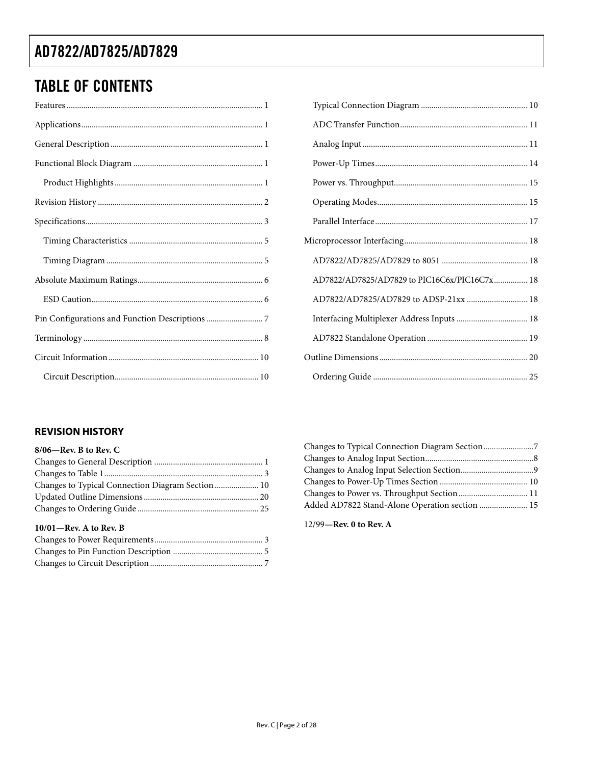## <span id="page-1-0"></span>TABLE OF CONTENTS

| AD7822/AD7825/AD7829 to PIC16C6x/PIC16C7x 18 |  |
|----------------------------------------------|--|
| AD7822/AD7825/AD7829 to ADSP-21xx  18        |  |
| Interfacing Multiplexer Address Inputs  18   |  |
|                                              |  |
|                                              |  |
|                                              |  |

### **REVISION HISTORY**

| $8/06$ —Rev. B to Rev. C |  |
|--------------------------|--|
|--------------------------|--|

| Changes to Typical Connection Diagram Section  10 |  |
|---------------------------------------------------|--|
|                                                   |  |
|                                                   |  |

### **10/01—Rev. A to Rev. B**

| Added AD7822 Stand-Alone Operation section  15 |  |
|------------------------------------------------|--|

12/99**—Rev. 0 to Rev. A**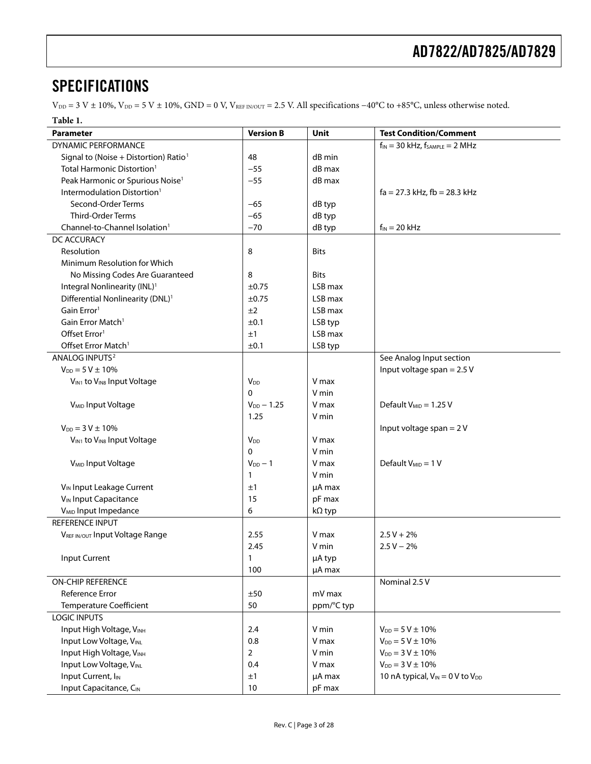## <span id="page-2-0"></span>**SPECIFICATIONS**

 $V_{\text{DD}} = 3 \text{ V} \pm 10\%, \text{V}_{\text{DD}} = 5 \text{ V} \pm 10\%, \text{GND} = 0 \text{ V}, \text{V}_{\text{REF IN/OUT}} = 2.5 \text{ V}.$  All specifications  $-40^{\circ}\text{C}$  to +85°C, unless otherwise noted.

### **Table 1.**

<span id="page-2-1"></span>

| DYNAMIC PERFORMANCE<br>$f_{IN}$ = 30 kHz, $f_{SAMPLE}$ = 2 MHz<br>Signal to (Noise + Distortion) Ratio <sup>1</sup><br>48<br>dB min<br>Total Harmonic Distortion <sup>1</sup><br>dB max<br>$-55$<br>$-55$<br>Peak Harmonic or Spurious Noise <sup>1</sup><br>dB max<br>Intermodulation Distortion <sup>1</sup><br>$fa = 27.3$ kHz, $fb = 28.3$ kHz<br>Second-Order Terms<br>$-65$<br>dB typ<br>Third-Order Terms<br>$-65$<br>dB typ<br>Channel-to-Channel Isolation <sup>1</sup><br>$-70$<br>dB typ<br>$f_{IN}$ = 20 kHz<br>DC ACCURACY<br>Resolution<br>8<br><b>Bits</b><br>Minimum Resolution for Which<br>No Missing Codes Are Guaranteed<br>8<br><b>Bits</b><br>Integral Nonlinearity (INL) <sup>1</sup><br>LSB max<br>$\pm 0.75$<br>Differential Nonlinearity (DNL) <sup>1</sup><br>LSB max<br>$\pm 0.75$<br>Gain Error <sup>1</sup><br>±2<br>LSB max<br>Gain Error Match <sup>1</sup><br>±0.1<br>LSB typ<br>Offset Error <sup>1</sup><br>LSB max<br>±1<br>Offset Error Match <sup>1</sup><br>±0.1<br>LSB typ<br>ANALOG INPUTS <sup>2</sup><br>See Analog Input section<br>$V_{DD} = 5 V \pm 10\%$<br>Input voltage span = $2.5$ V<br>V max<br>V <sub>IN1</sub> to V <sub>IN8</sub> Input Voltage<br><b>V</b> <sub>DD</sub><br>$\Omega$<br>V min<br>Default $V_{MID} = 1.25 V$<br>V <sub>MID</sub> Input Voltage<br>$V_{DD} - 1.25$<br>V max<br>1.25<br>V min<br>$V_{DD} = 3 V \pm 10\%$<br>Input voltage span = $2V$<br>VIN1 to VIN8 Input Voltage<br><b>V</b> <sub>DD</sub><br>V max<br>$\Omega$<br>V min<br>Default $V_{MID} = 1 V$<br>V <sub>MID</sub> Input Voltage<br>$V_{DD} - 1$<br>V max<br>V min<br>1<br>V <sub>IN</sub> Input Leakage Current<br>±1<br>µA max<br>V <sub>IN</sub> Input Capacitance<br>15<br>pF max<br>V <sub>MID</sub> Input Impedance<br>6<br>kΩ typ<br><b>REFERENCE INPUT</b><br>VREF IN/OUT Input Voltage Range<br>2.55<br>V max<br>$2.5 V + 2%$<br>$2.5 V - 2%$<br>2.45<br>V min<br>Input Current<br>µA typ<br>100<br>µA max<br><b>ON-CHIP REFERENCE</b><br>Nominal 2.5 V<br>Reference Error<br>±50<br>mV max<br><b>Temperature Coefficient</b><br>50<br>ppm/°C typ<br><b>LOGIC INPUTS</b><br>Input High Voltage, VINH<br>2.4<br>V min<br>$V_{DD} = 5 V \pm 10\%$<br>Input Low Voltage, VINL<br>0.8<br>$V_{DD} = 5 V \pm 10\%$<br>V max<br>Input High Voltage, VINH<br>$V_{DD} = 3 V \pm 10\%$<br>$\overline{2}$<br>V min<br>Input Low Voltage, VINL<br>$V_{DD} = 3 V \pm 10\%$<br>0.4<br>V max<br>Input Current, IIN<br>µA max<br>10 nA typical, $V_{IN} = 0$ V to $V_{DD}$<br>±1 | Parameter              | <b>Version B</b> | Unit   | <b>Test Condition/Comment</b> |
|------------------------------------------------------------------------------------------------------------------------------------------------------------------------------------------------------------------------------------------------------------------------------------------------------------------------------------------------------------------------------------------------------------------------------------------------------------------------------------------------------------------------------------------------------------------------------------------------------------------------------------------------------------------------------------------------------------------------------------------------------------------------------------------------------------------------------------------------------------------------------------------------------------------------------------------------------------------------------------------------------------------------------------------------------------------------------------------------------------------------------------------------------------------------------------------------------------------------------------------------------------------------------------------------------------------------------------------------------------------------------------------------------------------------------------------------------------------------------------------------------------------------------------------------------------------------------------------------------------------------------------------------------------------------------------------------------------------------------------------------------------------------------------------------------------------------------------------------------------------------------------------------------------------------------------------------------------------------------------------------------------------------------------------------------------------------------------------------------------------------------------------------------------------------------------------------------------------------------------------------------------------------------------------------------------------------------------------------------------------------------------------------------------------------------------------------------------------------------------------------------------------------|------------------------|------------------|--------|-------------------------------|
|                                                                                                                                                                                                                                                                                                                                                                                                                                                                                                                                                                                                                                                                                                                                                                                                                                                                                                                                                                                                                                                                                                                                                                                                                                                                                                                                                                                                                                                                                                                                                                                                                                                                                                                                                                                                                                                                                                                                                                                                                                                                                                                                                                                                                                                                                                                                                                                                                                                                                                                        |                        |                  |        |                               |
|                                                                                                                                                                                                                                                                                                                                                                                                                                                                                                                                                                                                                                                                                                                                                                                                                                                                                                                                                                                                                                                                                                                                                                                                                                                                                                                                                                                                                                                                                                                                                                                                                                                                                                                                                                                                                                                                                                                                                                                                                                                                                                                                                                                                                                                                                                                                                                                                                                                                                                                        |                        |                  |        |                               |
|                                                                                                                                                                                                                                                                                                                                                                                                                                                                                                                                                                                                                                                                                                                                                                                                                                                                                                                                                                                                                                                                                                                                                                                                                                                                                                                                                                                                                                                                                                                                                                                                                                                                                                                                                                                                                                                                                                                                                                                                                                                                                                                                                                                                                                                                                                                                                                                                                                                                                                                        |                        |                  |        |                               |
|                                                                                                                                                                                                                                                                                                                                                                                                                                                                                                                                                                                                                                                                                                                                                                                                                                                                                                                                                                                                                                                                                                                                                                                                                                                                                                                                                                                                                                                                                                                                                                                                                                                                                                                                                                                                                                                                                                                                                                                                                                                                                                                                                                                                                                                                                                                                                                                                                                                                                                                        |                        |                  |        |                               |
|                                                                                                                                                                                                                                                                                                                                                                                                                                                                                                                                                                                                                                                                                                                                                                                                                                                                                                                                                                                                                                                                                                                                                                                                                                                                                                                                                                                                                                                                                                                                                                                                                                                                                                                                                                                                                                                                                                                                                                                                                                                                                                                                                                                                                                                                                                                                                                                                                                                                                                                        |                        |                  |        |                               |
|                                                                                                                                                                                                                                                                                                                                                                                                                                                                                                                                                                                                                                                                                                                                                                                                                                                                                                                                                                                                                                                                                                                                                                                                                                                                                                                                                                                                                                                                                                                                                                                                                                                                                                                                                                                                                                                                                                                                                                                                                                                                                                                                                                                                                                                                                                                                                                                                                                                                                                                        |                        |                  |        |                               |
|                                                                                                                                                                                                                                                                                                                                                                                                                                                                                                                                                                                                                                                                                                                                                                                                                                                                                                                                                                                                                                                                                                                                                                                                                                                                                                                                                                                                                                                                                                                                                                                                                                                                                                                                                                                                                                                                                                                                                                                                                                                                                                                                                                                                                                                                                                                                                                                                                                                                                                                        |                        |                  |        |                               |
|                                                                                                                                                                                                                                                                                                                                                                                                                                                                                                                                                                                                                                                                                                                                                                                                                                                                                                                                                                                                                                                                                                                                                                                                                                                                                                                                                                                                                                                                                                                                                                                                                                                                                                                                                                                                                                                                                                                                                                                                                                                                                                                                                                                                                                                                                                                                                                                                                                                                                                                        |                        |                  |        |                               |
|                                                                                                                                                                                                                                                                                                                                                                                                                                                                                                                                                                                                                                                                                                                                                                                                                                                                                                                                                                                                                                                                                                                                                                                                                                                                                                                                                                                                                                                                                                                                                                                                                                                                                                                                                                                                                                                                                                                                                                                                                                                                                                                                                                                                                                                                                                                                                                                                                                                                                                                        |                        |                  |        |                               |
|                                                                                                                                                                                                                                                                                                                                                                                                                                                                                                                                                                                                                                                                                                                                                                                                                                                                                                                                                                                                                                                                                                                                                                                                                                                                                                                                                                                                                                                                                                                                                                                                                                                                                                                                                                                                                                                                                                                                                                                                                                                                                                                                                                                                                                                                                                                                                                                                                                                                                                                        |                        |                  |        |                               |
|                                                                                                                                                                                                                                                                                                                                                                                                                                                                                                                                                                                                                                                                                                                                                                                                                                                                                                                                                                                                                                                                                                                                                                                                                                                                                                                                                                                                                                                                                                                                                                                                                                                                                                                                                                                                                                                                                                                                                                                                                                                                                                                                                                                                                                                                                                                                                                                                                                                                                                                        |                        |                  |        |                               |
|                                                                                                                                                                                                                                                                                                                                                                                                                                                                                                                                                                                                                                                                                                                                                                                                                                                                                                                                                                                                                                                                                                                                                                                                                                                                                                                                                                                                                                                                                                                                                                                                                                                                                                                                                                                                                                                                                                                                                                                                                                                                                                                                                                                                                                                                                                                                                                                                                                                                                                                        |                        |                  |        |                               |
|                                                                                                                                                                                                                                                                                                                                                                                                                                                                                                                                                                                                                                                                                                                                                                                                                                                                                                                                                                                                                                                                                                                                                                                                                                                                                                                                                                                                                                                                                                                                                                                                                                                                                                                                                                                                                                                                                                                                                                                                                                                                                                                                                                                                                                                                                                                                                                                                                                                                                                                        |                        |                  |        |                               |
|                                                                                                                                                                                                                                                                                                                                                                                                                                                                                                                                                                                                                                                                                                                                                                                                                                                                                                                                                                                                                                                                                                                                                                                                                                                                                                                                                                                                                                                                                                                                                                                                                                                                                                                                                                                                                                                                                                                                                                                                                                                                                                                                                                                                                                                                                                                                                                                                                                                                                                                        |                        |                  |        |                               |
|                                                                                                                                                                                                                                                                                                                                                                                                                                                                                                                                                                                                                                                                                                                                                                                                                                                                                                                                                                                                                                                                                                                                                                                                                                                                                                                                                                                                                                                                                                                                                                                                                                                                                                                                                                                                                                                                                                                                                                                                                                                                                                                                                                                                                                                                                                                                                                                                                                                                                                                        |                        |                  |        |                               |
|                                                                                                                                                                                                                                                                                                                                                                                                                                                                                                                                                                                                                                                                                                                                                                                                                                                                                                                                                                                                                                                                                                                                                                                                                                                                                                                                                                                                                                                                                                                                                                                                                                                                                                                                                                                                                                                                                                                                                                                                                                                                                                                                                                                                                                                                                                                                                                                                                                                                                                                        |                        |                  |        |                               |
|                                                                                                                                                                                                                                                                                                                                                                                                                                                                                                                                                                                                                                                                                                                                                                                                                                                                                                                                                                                                                                                                                                                                                                                                                                                                                                                                                                                                                                                                                                                                                                                                                                                                                                                                                                                                                                                                                                                                                                                                                                                                                                                                                                                                                                                                                                                                                                                                                                                                                                                        |                        |                  |        |                               |
|                                                                                                                                                                                                                                                                                                                                                                                                                                                                                                                                                                                                                                                                                                                                                                                                                                                                                                                                                                                                                                                                                                                                                                                                                                                                                                                                                                                                                                                                                                                                                                                                                                                                                                                                                                                                                                                                                                                                                                                                                                                                                                                                                                                                                                                                                                                                                                                                                                                                                                                        |                        |                  |        |                               |
|                                                                                                                                                                                                                                                                                                                                                                                                                                                                                                                                                                                                                                                                                                                                                                                                                                                                                                                                                                                                                                                                                                                                                                                                                                                                                                                                                                                                                                                                                                                                                                                                                                                                                                                                                                                                                                                                                                                                                                                                                                                                                                                                                                                                                                                                                                                                                                                                                                                                                                                        |                        |                  |        |                               |
|                                                                                                                                                                                                                                                                                                                                                                                                                                                                                                                                                                                                                                                                                                                                                                                                                                                                                                                                                                                                                                                                                                                                                                                                                                                                                                                                                                                                                                                                                                                                                                                                                                                                                                                                                                                                                                                                                                                                                                                                                                                                                                                                                                                                                                                                                                                                                                                                                                                                                                                        |                        |                  |        |                               |
|                                                                                                                                                                                                                                                                                                                                                                                                                                                                                                                                                                                                                                                                                                                                                                                                                                                                                                                                                                                                                                                                                                                                                                                                                                                                                                                                                                                                                                                                                                                                                                                                                                                                                                                                                                                                                                                                                                                                                                                                                                                                                                                                                                                                                                                                                                                                                                                                                                                                                                                        |                        |                  |        |                               |
|                                                                                                                                                                                                                                                                                                                                                                                                                                                                                                                                                                                                                                                                                                                                                                                                                                                                                                                                                                                                                                                                                                                                                                                                                                                                                                                                                                                                                                                                                                                                                                                                                                                                                                                                                                                                                                                                                                                                                                                                                                                                                                                                                                                                                                                                                                                                                                                                                                                                                                                        |                        |                  |        |                               |
|                                                                                                                                                                                                                                                                                                                                                                                                                                                                                                                                                                                                                                                                                                                                                                                                                                                                                                                                                                                                                                                                                                                                                                                                                                                                                                                                                                                                                                                                                                                                                                                                                                                                                                                                                                                                                                                                                                                                                                                                                                                                                                                                                                                                                                                                                                                                                                                                                                                                                                                        |                        |                  |        |                               |
|                                                                                                                                                                                                                                                                                                                                                                                                                                                                                                                                                                                                                                                                                                                                                                                                                                                                                                                                                                                                                                                                                                                                                                                                                                                                                                                                                                                                                                                                                                                                                                                                                                                                                                                                                                                                                                                                                                                                                                                                                                                                                                                                                                                                                                                                                                                                                                                                                                                                                                                        |                        |                  |        |                               |
|                                                                                                                                                                                                                                                                                                                                                                                                                                                                                                                                                                                                                                                                                                                                                                                                                                                                                                                                                                                                                                                                                                                                                                                                                                                                                                                                                                                                                                                                                                                                                                                                                                                                                                                                                                                                                                                                                                                                                                                                                                                                                                                                                                                                                                                                                                                                                                                                                                                                                                                        |                        |                  |        |                               |
|                                                                                                                                                                                                                                                                                                                                                                                                                                                                                                                                                                                                                                                                                                                                                                                                                                                                                                                                                                                                                                                                                                                                                                                                                                                                                                                                                                                                                                                                                                                                                                                                                                                                                                                                                                                                                                                                                                                                                                                                                                                                                                                                                                                                                                                                                                                                                                                                                                                                                                                        |                        |                  |        |                               |
|                                                                                                                                                                                                                                                                                                                                                                                                                                                                                                                                                                                                                                                                                                                                                                                                                                                                                                                                                                                                                                                                                                                                                                                                                                                                                                                                                                                                                                                                                                                                                                                                                                                                                                                                                                                                                                                                                                                                                                                                                                                                                                                                                                                                                                                                                                                                                                                                                                                                                                                        |                        |                  |        |                               |
|                                                                                                                                                                                                                                                                                                                                                                                                                                                                                                                                                                                                                                                                                                                                                                                                                                                                                                                                                                                                                                                                                                                                                                                                                                                                                                                                                                                                                                                                                                                                                                                                                                                                                                                                                                                                                                                                                                                                                                                                                                                                                                                                                                                                                                                                                                                                                                                                                                                                                                                        |                        |                  |        |                               |
|                                                                                                                                                                                                                                                                                                                                                                                                                                                                                                                                                                                                                                                                                                                                                                                                                                                                                                                                                                                                                                                                                                                                                                                                                                                                                                                                                                                                                                                                                                                                                                                                                                                                                                                                                                                                                                                                                                                                                                                                                                                                                                                                                                                                                                                                                                                                                                                                                                                                                                                        |                        |                  |        |                               |
|                                                                                                                                                                                                                                                                                                                                                                                                                                                                                                                                                                                                                                                                                                                                                                                                                                                                                                                                                                                                                                                                                                                                                                                                                                                                                                                                                                                                                                                                                                                                                                                                                                                                                                                                                                                                                                                                                                                                                                                                                                                                                                                                                                                                                                                                                                                                                                                                                                                                                                                        |                        |                  |        |                               |
|                                                                                                                                                                                                                                                                                                                                                                                                                                                                                                                                                                                                                                                                                                                                                                                                                                                                                                                                                                                                                                                                                                                                                                                                                                                                                                                                                                                                                                                                                                                                                                                                                                                                                                                                                                                                                                                                                                                                                                                                                                                                                                                                                                                                                                                                                                                                                                                                                                                                                                                        |                        |                  |        |                               |
|                                                                                                                                                                                                                                                                                                                                                                                                                                                                                                                                                                                                                                                                                                                                                                                                                                                                                                                                                                                                                                                                                                                                                                                                                                                                                                                                                                                                                                                                                                                                                                                                                                                                                                                                                                                                                                                                                                                                                                                                                                                                                                                                                                                                                                                                                                                                                                                                                                                                                                                        |                        |                  |        |                               |
|                                                                                                                                                                                                                                                                                                                                                                                                                                                                                                                                                                                                                                                                                                                                                                                                                                                                                                                                                                                                                                                                                                                                                                                                                                                                                                                                                                                                                                                                                                                                                                                                                                                                                                                                                                                                                                                                                                                                                                                                                                                                                                                                                                                                                                                                                                                                                                                                                                                                                                                        |                        |                  |        |                               |
|                                                                                                                                                                                                                                                                                                                                                                                                                                                                                                                                                                                                                                                                                                                                                                                                                                                                                                                                                                                                                                                                                                                                                                                                                                                                                                                                                                                                                                                                                                                                                                                                                                                                                                                                                                                                                                                                                                                                                                                                                                                                                                                                                                                                                                                                                                                                                                                                                                                                                                                        |                        |                  |        |                               |
|                                                                                                                                                                                                                                                                                                                                                                                                                                                                                                                                                                                                                                                                                                                                                                                                                                                                                                                                                                                                                                                                                                                                                                                                                                                                                                                                                                                                                                                                                                                                                                                                                                                                                                                                                                                                                                                                                                                                                                                                                                                                                                                                                                                                                                                                                                                                                                                                                                                                                                                        |                        |                  |        |                               |
|                                                                                                                                                                                                                                                                                                                                                                                                                                                                                                                                                                                                                                                                                                                                                                                                                                                                                                                                                                                                                                                                                                                                                                                                                                                                                                                                                                                                                                                                                                                                                                                                                                                                                                                                                                                                                                                                                                                                                                                                                                                                                                                                                                                                                                                                                                                                                                                                                                                                                                                        |                        |                  |        |                               |
|                                                                                                                                                                                                                                                                                                                                                                                                                                                                                                                                                                                                                                                                                                                                                                                                                                                                                                                                                                                                                                                                                                                                                                                                                                                                                                                                                                                                                                                                                                                                                                                                                                                                                                                                                                                                                                                                                                                                                                                                                                                                                                                                                                                                                                                                                                                                                                                                                                                                                                                        |                        |                  |        |                               |
|                                                                                                                                                                                                                                                                                                                                                                                                                                                                                                                                                                                                                                                                                                                                                                                                                                                                                                                                                                                                                                                                                                                                                                                                                                                                                                                                                                                                                                                                                                                                                                                                                                                                                                                                                                                                                                                                                                                                                                                                                                                                                                                                                                                                                                                                                                                                                                                                                                                                                                                        |                        |                  |        |                               |
|                                                                                                                                                                                                                                                                                                                                                                                                                                                                                                                                                                                                                                                                                                                                                                                                                                                                                                                                                                                                                                                                                                                                                                                                                                                                                                                                                                                                                                                                                                                                                                                                                                                                                                                                                                                                                                                                                                                                                                                                                                                                                                                                                                                                                                                                                                                                                                                                                                                                                                                        |                        |                  |        |                               |
|                                                                                                                                                                                                                                                                                                                                                                                                                                                                                                                                                                                                                                                                                                                                                                                                                                                                                                                                                                                                                                                                                                                                                                                                                                                                                                                                                                                                                                                                                                                                                                                                                                                                                                                                                                                                                                                                                                                                                                                                                                                                                                                                                                                                                                                                                                                                                                                                                                                                                                                        |                        |                  |        |                               |
|                                                                                                                                                                                                                                                                                                                                                                                                                                                                                                                                                                                                                                                                                                                                                                                                                                                                                                                                                                                                                                                                                                                                                                                                                                                                                                                                                                                                                                                                                                                                                                                                                                                                                                                                                                                                                                                                                                                                                                                                                                                                                                                                                                                                                                                                                                                                                                                                                                                                                                                        |                        |                  |        |                               |
|                                                                                                                                                                                                                                                                                                                                                                                                                                                                                                                                                                                                                                                                                                                                                                                                                                                                                                                                                                                                                                                                                                                                                                                                                                                                                                                                                                                                                                                                                                                                                                                                                                                                                                                                                                                                                                                                                                                                                                                                                                                                                                                                                                                                                                                                                                                                                                                                                                                                                                                        |                        |                  |        |                               |
|                                                                                                                                                                                                                                                                                                                                                                                                                                                                                                                                                                                                                                                                                                                                                                                                                                                                                                                                                                                                                                                                                                                                                                                                                                                                                                                                                                                                                                                                                                                                                                                                                                                                                                                                                                                                                                                                                                                                                                                                                                                                                                                                                                                                                                                                                                                                                                                                                                                                                                                        |                        |                  |        |                               |
|                                                                                                                                                                                                                                                                                                                                                                                                                                                                                                                                                                                                                                                                                                                                                                                                                                                                                                                                                                                                                                                                                                                                                                                                                                                                                                                                                                                                                                                                                                                                                                                                                                                                                                                                                                                                                                                                                                                                                                                                                                                                                                                                                                                                                                                                                                                                                                                                                                                                                                                        |                        |                  |        |                               |
|                                                                                                                                                                                                                                                                                                                                                                                                                                                                                                                                                                                                                                                                                                                                                                                                                                                                                                                                                                                                                                                                                                                                                                                                                                                                                                                                                                                                                                                                                                                                                                                                                                                                                                                                                                                                                                                                                                                                                                                                                                                                                                                                                                                                                                                                                                                                                                                                                                                                                                                        |                        |                  |        |                               |
|                                                                                                                                                                                                                                                                                                                                                                                                                                                                                                                                                                                                                                                                                                                                                                                                                                                                                                                                                                                                                                                                                                                                                                                                                                                                                                                                                                                                                                                                                                                                                                                                                                                                                                                                                                                                                                                                                                                                                                                                                                                                                                                                                                                                                                                                                                                                                                                                                                                                                                                        |                        |                  |        |                               |
|                                                                                                                                                                                                                                                                                                                                                                                                                                                                                                                                                                                                                                                                                                                                                                                                                                                                                                                                                                                                                                                                                                                                                                                                                                                                                                                                                                                                                                                                                                                                                                                                                                                                                                                                                                                                                                                                                                                                                                                                                                                                                                                                                                                                                                                                                                                                                                                                                                                                                                                        | Input Capacitance, CIN | 10               | pF max |                               |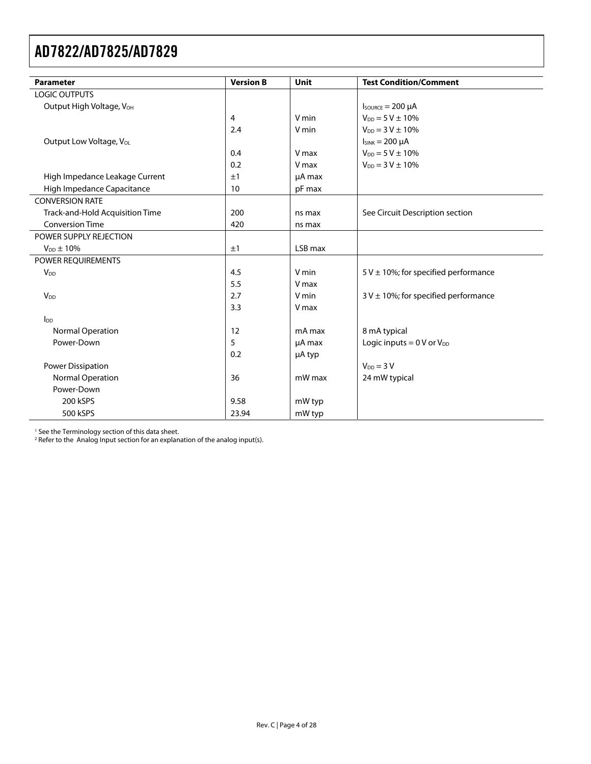<span id="page-3-0"></span>

| <b>Parameter</b>                     | <b>Version B</b> | Unit    | <b>Test Condition/Comment</b>             |
|--------------------------------------|------------------|---------|-------------------------------------------|
| <b>LOGIC OUTPUTS</b>                 |                  |         |                                           |
| Output High Voltage, V <sub>OH</sub> |                  |         | $I_{\text{SOWRCE}} = 200 \mu A$           |
|                                      | 4                | V min   | $V_{DD} = 5 V \pm 10\%$                   |
|                                      | 2.4              | V min   | $V_{DD} = 3 V \pm 10\%$                   |
| Output Low Voltage, Vol.             |                  |         | $I_{SINK} = 200 \mu A$                    |
|                                      | 0.4              | V max   | $V_{DD} = 5 V \pm 10\%$                   |
|                                      | 0.2              | V max   | $V_{DD} = 3 V \pm 10\%$                   |
| High Impedance Leakage Current       | ±1               | µA max  |                                           |
| High Impedance Capacitance           | 10               | pF max  |                                           |
| <b>CONVERSION RATE</b>               |                  |         |                                           |
| Track-and-Hold Acquisition Time      | 200              | ns max  | See Circuit Description section           |
| <b>Conversion Time</b>               | 420              | ns max  |                                           |
| POWER SUPPLY REJECTION               |                  |         |                                           |
| $V_{DD} \pm 10\%$                    | ±1               | LSB max |                                           |
| POWER REQUIREMENTS                   |                  |         |                                           |
| V <sub>DD</sub>                      | 4.5              | V min   | 5 V $\pm$ 10%; for specified performance  |
|                                      | 5.5              | V max   |                                           |
| V <sub>DD</sub>                      | 2.7              | V min   | $3 V \pm 10$ %; for specified performance |
|                                      | 3.3              | V max   |                                           |
| $I_{DD}$                             |                  |         |                                           |
| Normal Operation                     | 12               | mA max  | 8 mA typical                              |
| Power-Down                           | 5                | µA max  | Logic inputs $= 0 V$ or $V_{DD}$          |
|                                      | 0.2              | µA typ  |                                           |
| <b>Power Dissipation</b>             |                  |         | $V_{DD} = 3 V$                            |
| <b>Normal Operation</b>              | 36               | mW max  | 24 mW typical                             |
| Power-Down                           |                  |         |                                           |
| 200 kSPS                             | 9.58             | mW typ  |                                           |
| 500 kSPS                             | 23.94            | mW typ  |                                           |

<sup>1</sup> See the Terminology section of this data sheet.

 $2$  Refer to the Analog Input section for an explanation of the analog input(s).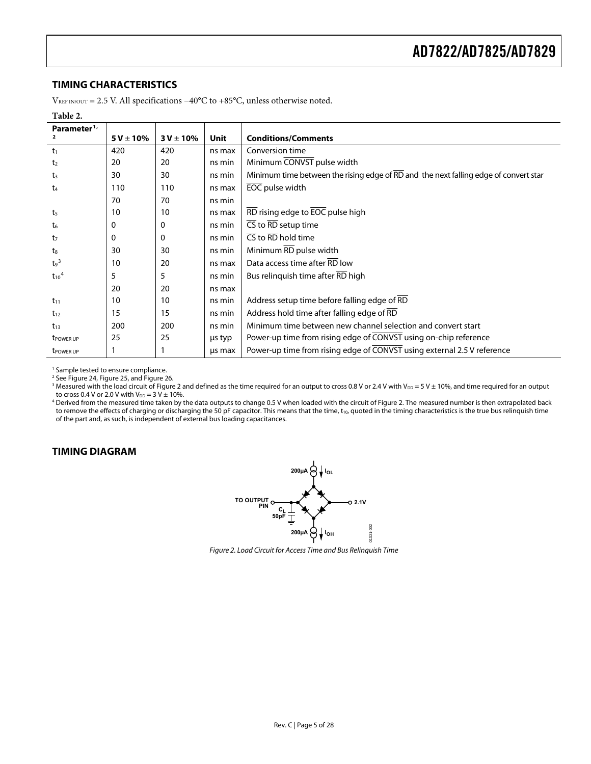### <span id="page-4-0"></span>**TIMING CHARACTERISTICS**

VREF IN/OUT = 2.5 V. All specifications −40°C to +85°C, unless otherwise noted.

| Parameter <sup>1</sup> |               |               |        |                                                                                      |
|------------------------|---------------|---------------|--------|--------------------------------------------------------------------------------------|
|                        | $5V \pm 10\%$ | $3 V \pm 10%$ | Unit   | <b>Conditions/Comments</b>                                                           |
| t <sub>1</sub>         | 420           | 420           | ns max | Conversion time                                                                      |
| t <sub>2</sub>         | 20            | 20            | ns min | Minimum CONVST pulse width                                                           |
| $t_3$                  | 30            | 30            | ns min | Minimum time between the rising edge of RD and the next falling edge of convert star |
| $t_{4}$                | 110           | 110           | ns max | EOC pulse width                                                                      |
|                        | 70            | 70            | ns min |                                                                                      |
| t5                     | 10            | 10            | ns max | RD rising edge to EOC pulse high                                                     |
| t <sub>6</sub>         | 0             | 0             | ns min | $\overline{\text{CS}}$ to $\overline{\text{RD}}$ setup time                          |
| t <sub>7</sub>         | 0             | 0             | ns min | $\overline{\text{CS}}$ to RD hold time                                               |
| $t_{8}$                | 30            | 30            | ns min | Minimum RD pulse width                                                               |
| $t9$ <sup>3</sup>      | 10            | 20            | ns max | Data access time after RD low                                                        |
| $t_{10}$ <sup>4</sup>  | 5             | 5             | ns min | Bus relinquish time after RD high                                                    |
|                        | 20            | 20            | ns max |                                                                                      |
| $t_{11}$               | 10            | 10            | ns min | Address setup time before falling edge of RD                                         |
| $t_{12}$               | 15            | 15            | ns min | Address hold time after falling edge of RD                                           |
| $t_{13}$               | 200           | 200           | ns min | Minimum time between new channel selection and convert start                         |
| <b>t</b> POWER UP      | 25            | 25            | us typ | Power-up time from rising edge of CONVST using on-chip reference                     |
| <b>t</b> POWER UP      |               |               | us max | Power-up time from rising edge of CONVST using external 2.5 V reference              |

<sup>1</sup> Sample tested to ensure compliance.<br><sup>2</sup> See Figure 24, Figure 25, and Figure 26.

<sup>3</sup> Measured with the load circuit of Figure 2 and defined as the time required for an output to cross 0.8 V or 2.4 V with V $_{\text{DD}}$  = 5 V  $\pm$  10%, and time required for an output

to cross 0.4 V or 2.0 V with V<sub>DD</sub> = 3 V ± 10%.<br><sup>4</sup> Derived from the measured time taken by the data outputs to change 0.5 V when loaded with the circuit of Figure 2. The measured number is then extrapolated back to remove the effects of charging or discharging the 50 pF capacitor. This means that the time, t<sub>10</sub>, quoted in the timing characteristics is the true bus relinquish time of the part and, as such, is independent of external bus loading capacitances.

### **TIMING DIAGRAM**



Figure 2. Load Circuit for Access Time and Bus Relinquish Time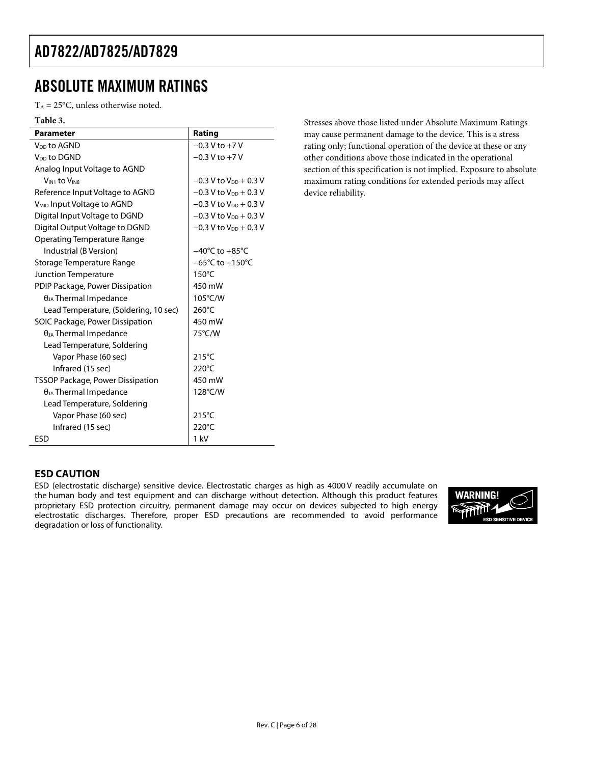## <span id="page-5-0"></span>ABSOLUTE MAXIMUM RATINGS

 $T_A = 25$ °C, unless otherwise noted.

| Table 3.                                |                                      |
|-----------------------------------------|--------------------------------------|
| <b>Parameter</b>                        | Rating                               |
| V <sub>DD</sub> to AGND                 | $-0.3$ V to $+7$ V                   |
| V <sub>DD</sub> to DGND                 | $-0.3$ V to $+7$ V                   |
| Analog Input Voltage to AGND            |                                      |
| VIN1 to VIN8                            | $-0.3$ V to V <sub>DD</sub> $+0.3$ V |
| Reference Input Voltage to AGND         | $-0.3$ V to $V_{DD}$ + 0.3 V         |
| V <sub>MID</sub> Input Voltage to AGND  | $-0.3$ V to $V_{DD}$ + 0.3 V         |
| Digital Input Voltage to DGND           | $-0.3$ V to $V_{DD}$ + 0.3 V         |
| Digital Output Voltage to DGND          | $-0.3$ V to $V_{DD}$ + 0.3 V         |
| <b>Operating Temperature Range</b>      |                                      |
| Industrial (B Version)                  | $-40^{\circ}$ C to $+85^{\circ}$ C   |
| Storage Temperature Range               | $-65^{\circ}$ C to $+150^{\circ}$ C  |
| Junction Temperature                    | $150^{\circ}$ C                      |
| PDIP Package, Power Dissipation         | 450 mW                               |
| $\theta_{JA}$ Thermal Impedance         | 105°C/W                              |
| Lead Temperature, (Soldering, 10 sec)   | $260^{\circ}$ C                      |
| SOIC Package, Power Dissipation         | 450 mW                               |
| $\theta_{JA}$ Thermal Impedance         | 75°C/W                               |
| Lead Temperature, Soldering             |                                      |
| Vapor Phase (60 sec)                    | $215^{\circ}$ C                      |
| Infrared (15 sec)                       | $220^{\circ}$ C                      |
| <b>TSSOP Package, Power Dissipation</b> | 450 mW                               |
| $\theta_{JA}$ Thermal Impedance         | 128°C/W                              |
| Lead Temperature, Soldering             |                                      |
| Vapor Phase (60 sec)                    | $215^{\circ}$ C                      |
| Infrared (15 sec)                       | $220^{\circ}$ C                      |
| FSD                                     | 1 kV                                 |

Stresses above those listed under Absolute Maximum Ratings may cause permanent damage to the device. This is a stress rating only; functional operation of the device at these or any other conditions above those indicated in the operational section of this specification is not implied. Exposure to absolute maximum rating conditions for extended periods may affect device reliability.

### **ESD CAUTION**

ESD (electrostatic discharge) sensitive device. Electrostatic charges as high as 4000 V readily accumulate on the human body and test equipment and can discharge without detection. Although this product features proprietary ESD protection circuitry, permanent damage may occur on devices subjected to high energy electrostatic discharges. Therefore, proper ESD precautions are recommended to avoid performance degradation or loss of functionality.

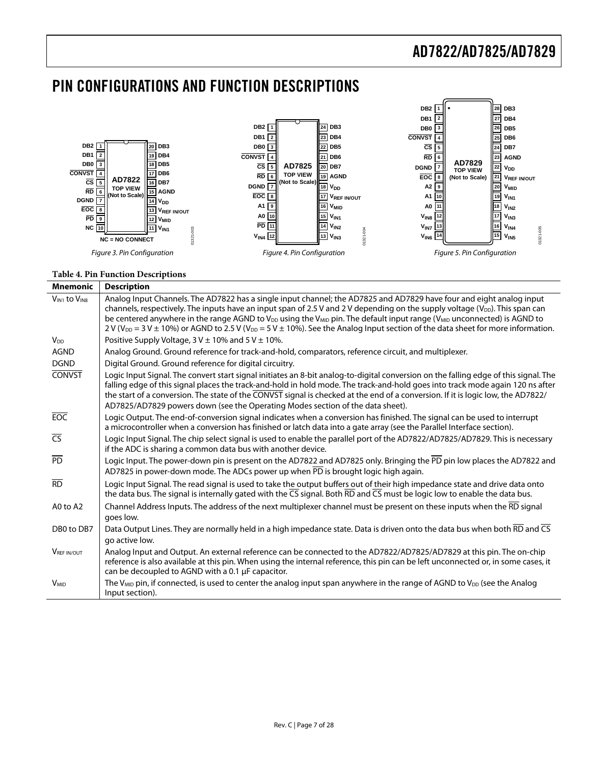## <span id="page-6-0"></span>PIN CONFIGURATIONS AND FUNCTION DESCRIPTIONS



#### **Table 4. Pin Function Descriptions**

| <b>Mnemonic</b>        | <b>Description</b>                                                                                                                                                                                                                                                                                                                                                                                                                                                                                                                                                                              |
|------------------------|-------------------------------------------------------------------------------------------------------------------------------------------------------------------------------------------------------------------------------------------------------------------------------------------------------------------------------------------------------------------------------------------------------------------------------------------------------------------------------------------------------------------------------------------------------------------------------------------------|
| $V_{IN1}$ to $V_{IN8}$ | Analog Input Channels. The AD7822 has a single input channel; the AD7825 and AD7829 have four and eight analog input<br>channels, respectively. The inputs have an input span of 2.5 V and 2 V depending on the supply voltage (V <sub>DD</sub> ). This span can<br>be centered anywhere in the range AGND to V <sub>DD</sub> using the V <sub>MD</sub> pin. The default input range (V <sub>MD</sub> unconnected) is AGND to<br>2 V (V <sub>DD</sub> = 3 V $\pm$ 10%) or AGND to 2.5 V (V <sub>DD</sub> = 5 V $\pm$ 10%). See the Analog Input section of the data sheet for more information. |
| <b>V<sub>DD</sub></b>  | Positive Supply Voltage, $3 \text{ V} \pm 10\%$ and $5 \text{ V} \pm 10\%$ .                                                                                                                                                                                                                                                                                                                                                                                                                                                                                                                    |
| <b>AGND</b>            | Analog Ground. Ground reference for track-and-hold, comparators, reference circuit, and multiplexer.                                                                                                                                                                                                                                                                                                                                                                                                                                                                                            |
| <b>DGND</b>            | Digital Ground. Ground reference for digital circuitry.                                                                                                                                                                                                                                                                                                                                                                                                                                                                                                                                         |
| <b>CONVST</b>          | Logic Input Signal. The convert start signal initiates an 8-bit analog-to-digital conversion on the falling edge of this signal. The<br>falling edge of this signal places the track-and-hold in hold mode. The track-and-hold goes into track mode again 120 ns after<br>the start of a conversion. The state of the CONVST signal is checked at the end of a conversion. If it is logic low, the AD7822/<br>AD7825/AD7829 powers down (see the Operating Modes section of the data sheet).                                                                                                    |
| <b>EOC</b>             | Logic Output. The end-of-conversion signal indicates when a conversion has finished. The signal can be used to interrupt<br>a microcontroller when a conversion has finished or latch data into a gate array (see the Parallel Interface section).                                                                                                                                                                                                                                                                                                                                              |
| $\overline{CS}$        | Logic Input Signal. The chip select signal is used to enable the parallel port of the AD7822/AD7825/AD7829. This is necessary<br>if the ADC is sharing a common data bus with another device.                                                                                                                                                                                                                                                                                                                                                                                                   |
| <b>PD</b>              | Logic Input. The power-down pin is present on the AD7822 and AD7825 only. Bringing the PD pin low places the AD7822 and<br>AD7825 in power-down mode. The ADCs power up when PD is brought logic high again.                                                                                                                                                                                                                                                                                                                                                                                    |
| $\overline{RD}$        | Logic Input Signal. The read signal is used to take the output buffers out of their high impedance state and drive data onto<br>the data bus. The signal is internally gated with the CS signal. Both RD and CS must be logic low to enable the data bus.                                                                                                                                                                                                                                                                                                                                       |
| A0 to A2               | Channel Address Inputs. The address of the next multiplexer channel must be present on these inputs when the RD signal<br>goes low.                                                                                                                                                                                                                                                                                                                                                                                                                                                             |
| DB0 to DB7             | Data Output Lines. They are normally held in a high impedance state. Data is driven onto the data bus when both RD and CS<br>go active low.                                                                                                                                                                                                                                                                                                                                                                                                                                                     |
| <b>VREF IN/OUT</b>     | Analog Input and Output. An external reference can be connected to the AD7822/AD7825/AD7829 at this pin. The on-chip<br>reference is also available at this pin. When using the internal reference, this pin can be left unconnected or, in some cases, it<br>can be decoupled to AGND with a 0.1 µF capacitor.                                                                                                                                                                                                                                                                                 |
| <b>V<sub>MID</sub></b> | The V <sub>MID</sub> pin, if connected, is used to center the analog input span anywhere in the range of AGND to V <sub>DD</sub> (see the Analog<br>Input section).                                                                                                                                                                                                                                                                                                                                                                                                                             |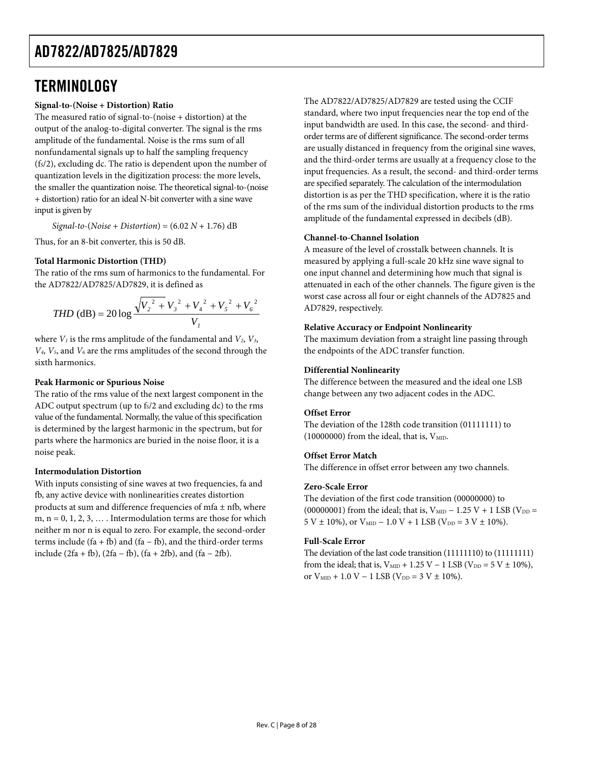## <span id="page-7-0"></span>**TERMINOLOGY**

### **Signal-to-(Noise + Distortion) Ratio**

The measured ratio of signal-to-(noise + distortion) at the output of the analog-to-digital converter. The signal is the rms amplitude of the fundamental. Noise is the rms sum of all nonfundamental signals up to half the sampling frequency  $(f<sub>s</sub>/2)$ , excluding dc. The ratio is dependent upon the number of quantization levels in the digitization process: the more levels, the smaller the quantization noise. The theoretical signal-to-(noise + distortion) ratio for an ideal N-bit converter with a sine wave input is given by

 $Signal-to-(Noise + Distribution) = (6.02 N + 1.76) dB$ 

Thus, for an 8-bit converter, this is 50 dB.

### **Total Harmonic Distortion (THD)**

The ratio of the rms sum of harmonics to the fundamental. For the AD7822/AD7825/AD7829, it is defined as

*THD* (dB) = 20 log 
$$
\frac{\sqrt{V_2^2 + V_3^2 + V_4^2 + V_5^2 + V_6^2}}{V_1}
$$

where  $V_1$  is the rms amplitude of the fundamental and  $V_2$ ,  $V_3$ , *V4*, *V5*, and *V6* are the rms amplitudes of the second through the sixth harmonics.

### **Peak Harmonic or Spurious Noise**

The ratio of the rms value of the next largest component in the ADC output spectrum (up to  $f_s/2$  and excluding dc) to the rms value of the fundamental. Normally, the value of this specification is determined by the largest harmonic in the spectrum, but for parts where the harmonics are buried in the noise floor, it is a noise peak.

### **Intermodulation Distortion**

With inputs consisting of sine waves at two frequencies, fa and fb, any active device with nonlinearities creates distortion products at sum and difference frequencies of mfa  $\pm$  nfb, where m,  $n = 0, 1, 2, 3, \ldots$ . Intermodulation terms are those for which neither m nor n is equal to zero. For example, the second-order terms include  $(fa + fb)$  and  $(fa - fb)$ , and the third-order terms include (2fa + fb), (2fa − fb), (fa + 2fb), and (fa − 2fb).

The AD7822/AD7825/AD7829 are tested using the CCIF standard, where two input frequencies near the top end of the input bandwidth are used. In this case, the second- and thirdorder terms are of different significance. The second-order terms are usually distanced in frequency from the original sine waves, and the third-order terms are usually at a frequency close to the input frequencies. As a result, the second- and third-order terms are specified separately. The calculation of the intermodulation distortion is as per the THD specification, where it is the ratio of the rms sum of the individual distortion products to the rms amplitude of the fundamental expressed in decibels (dB).

### **Channel-to-Channel Isolation**

A measure of the level of crosstalk between channels. It is measured by applying a full-scale 20 kHz sine wave signal to one input channel and determining how much that signal is attenuated in each of the other channels. The figure given is the worst case across all four or eight channels of the AD7825 and AD7829, respectively.

#### **Relative Accuracy or Endpoint Nonlinearity**

The maximum deviation from a straight line passing through the endpoints of the ADC transfer function.

### **Differential Nonlinearity**

The difference between the measured and the ideal one LSB change between any two adjacent codes in the ADC.

### **Offset Error**

The deviation of the 128th code transition (01111111) to (10000000) from the ideal, that is,  $V<sub>MD</sub>$ .

### **Offset Error Match**

The difference in offset error between any two channels.

### **Zero-Scale Error**

The deviation of the first code transition (00000000) to (00000001) from the ideal; that is,  $V_{\text{MID}} - 1.25 V + 1$  LSB ( $V_{\text{DD}} =$  $5 V \pm 10\%$ , or  $V_{\text{MID}} - 1.0 V + 1$  LSB (V<sub>DD</sub> =  $3 V \pm 10\%$ ).

### **Full-Scale Error**

The deviation of the last code transition (11111110) to (11111111) from the ideal; that is,  $V_{\text{MID}} + 1.25 V - 1$  LSB (V<sub>DD</sub> = 5 V ± 10%), or  $V_{\text{MID}} + 1.0 V - 1$  LSB (V<sub>DD</sub> = 3 V ± 10%).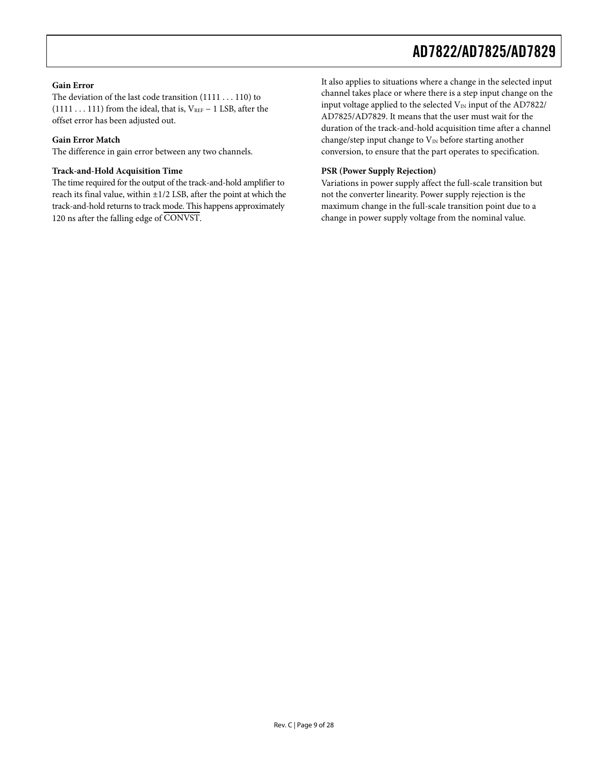### **Gain Error**

The deviation of the last code transition (1111 . . . 110) to (1111 . . . 111) from the ideal, that is,  $V_{REF}$  – 1 LSB, after the offset error has been adjusted out.

#### **Gain Error Match**

The difference in gain error between any two channels.

#### **Track-and-Hold Acquisition Time**

The time required for the output of the track-and-hold amplifier to reach its final value, within  $\pm 1/2$  LSB, after the point at which the track-and-hold returns to track mode. This happens approximately 120 ns after the falling edge of CONVST.

It also applies to situations where a change in the selected input channel takes place or where there is a step input change on the input voltage applied to the selected  $V_{IN}$  input of the AD7822/ AD7825/AD7829. It means that the user must wait for the duration of the track-and-hold acquisition time after a channel change/step input change to  $V_{\text{IN}}$  before starting another conversion, to ensure that the part operates to specification.

#### **PSR (Power Supply Rejection)**

Variations in power supply affect the full-scale transition but not the converter linearity. Power supply rejection is the maximum change in the full-scale transition point due to a change in power supply voltage from the nominal value.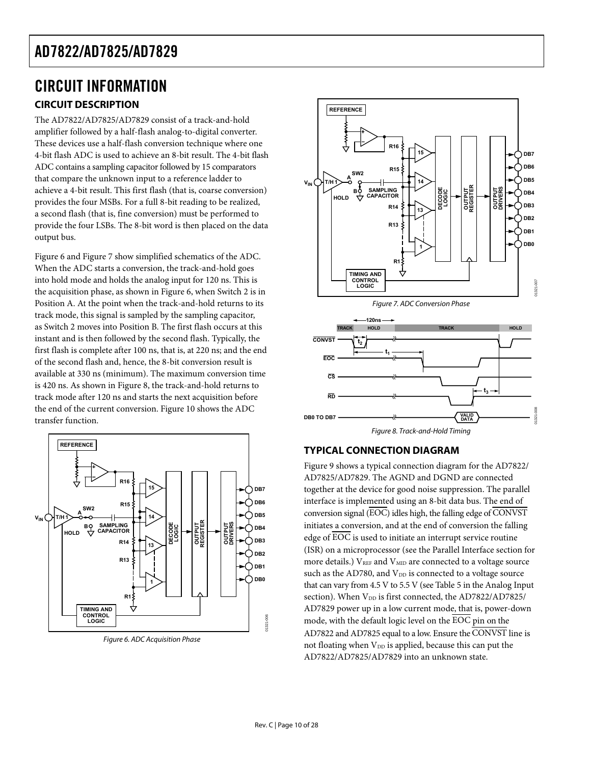### <span id="page-9-0"></span>CIRCUIT INFORMATION **CIRCUIT DESCRIPTION**

<span id="page-9-1"></span>The AD7822/AD7825/AD7829 consist of a track-and-hold amplifier followed by a half-flash analog-to-digital converter. These devices use a half-flash conversion technique where one 4-bit flash ADC is used to achieve an 8-bit result. The 4-bit flash ADC contains a sampling capacitor followed by 15 comparators that compare the unknown input to a reference ladder to achieve a 4-bit result. This first flash (that is, coarse conversion) provides the four MSBs. For a full 8-bit reading to be realized, a second flash (that is, fine conversion) must be performed to provide the four LSBs. The 8-bit word is then placed on the data output bus.

<span id="page-9-3"></span>[Figure 6](#page-9-2) and [Figure 7](#page-9-3) show simplified schematics of the ADC. When the ADC starts a conversion, the track-and-hold goes into hold mode and holds the analog input for 120 ns. This is the acquisition phase, as shown in [Figure 6,](#page-9-2) when Switch 2 is in Position A. At the point when the track-and-hold returns to its track mode, this signal is sampled by the sampling capacitor, as Switch 2 moves into Position B. The first flash occurs at this instant and is then followed by the second flash. Typically, the first flash is complete after 100 ns, that is, at 220 ns; and the end of the second flash and, hence, the 8-bit conversion result is available at 330 ns (minimum). The maximum conversion time is 420 ns. As shown in [Figure 8](#page-9-4), the track-and-hold returns to track mode after 120 ns and starts the next acquisition before the end of the current conversion. [Figure 10](#page-10-2) shows the ADC transfer function.

<span id="page-9-4"></span>

<span id="page-9-2"></span>Figure 6. ADC Acquisition Phase







### **TYPICAL CONNECTION DIAGRAM**

[Figure 9](#page-10-3) shows a typical connection diagram for the AD7822/ AD7825/AD7829. The AGND and DGND are connected together at the device for good noise suppression. The parallel interface is implemented using an 8-bit data bus. The end of conversion signal (EOC) idles high, the falling edge of CONVST initiates a conversion, and at the end of conversion the falling edge of  $\overline{EOC}$  is used to initiate an interrupt service routine (ISR) on a microprocessor (see the [Parallel Interface](#page-16-0) section for more details.) V<sub>REF</sub> and V<sub>MID</sub> are connected to a voltage source such as the AD780, and V<sub>DD</sub> is connected to a voltage source that can vary from 4.5 V to 5.5 V (see [Table 5](#page-10-4) in the [Analog Input](#page-10-1) section). When V<sub>DD</sub> is first connected, the AD7822/AD7825/ AD7829 power up in a low current mode, that is, power-down mode, with the default logic level on the EOC pin on the AD7822 and AD7825 equal to a low. Ensure the CONVST line is not floating when  $V_{DD}$  is applied, because this can put the AD7822/AD7825/AD7829 into an unknown state.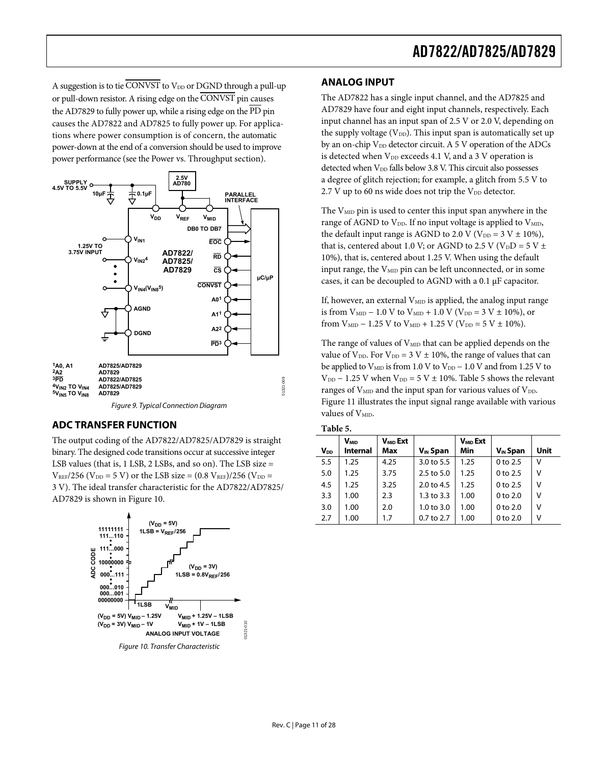<span id="page-10-1"></span><span id="page-10-0"></span>A suggestion is to tie CONVST to  $V_{DD}$  or DGND through a pull-up or pull-down resistor. A rising edge on the CONVST pin causes the AD7829 to fully power up, while a rising edge on the  $\overline{PD}$  pin causes the AD7822 and AD7825 to fully power up. For applications where power consumption is of concern, the automatic power-down at the end of a conversion should be used to improve power performance (see the [Power vs. Throughput](#page-14-2) section).



### <span id="page-10-4"></span><span id="page-10-3"></span>**ADC TRANSFER FUNCTION**

The output coding of the AD7822/AD7825/AD7829 is straight binary. The designed code transitions occur at successive integer LSB values (that is, 1 LSB, 2 LSBs, and so on). The LSB size =  $V_{REF}/256$  ( $V_{DD} = 5 V$ ) or the LSB size = (0.8  $V_{REF}/256$  ( $V_{DD} =$ 3 V). The ideal transfer characteristic for the AD7822/AD7825/ AD7829 is shown in [Figure 10](#page-10-2).

<span id="page-10-2"></span>

### **ANALOG INPUT**

The AD7822 has a single input channel, and the AD7825 and AD7829 have four and eight input channels, respectively. Each input channel has an input span of 2.5 V or 2.0 V, depending on the supply voltage ( $V_{DD}$ ). This input span is automatically set up by an on-chip  $V_{DD}$  detector circuit. A 5 V operation of the ADCs is detected when  $V_{DD}$  exceeds 4.1 V, and a 3 V operation is detected when  $V_{DD}$  falls below 3.8 V. This circuit also possesses a degree of glitch rejection; for example, a glitch from 5.5 V to  $2.7$  V up to 60 ns wide does not trip the  $V_{DD}$  detector.

The  $V_{\text{MID}}$  pin is used to center this input span anywhere in the range of AGND to  $V_{DD}$ . If no input voltage is applied to  $V_{MD}$ , the default input range is AGND to 2.0 V ( $V_{DD} = 3 V \pm 10\%$ ), that is, centered about 1.0 V; or AGND to 2.5 V (V<sub>D</sub>D = 5 V  $\pm$ 10%), that is, centered about 1.25 V. When using the default input range, the  $V<sub>MD</sub>$  pin can be left unconnected, or in some cases, it can be decoupled to AGND with a 0.1 μF capacitor.

If, however, an external  $V_{\text{MID}}$  is applied, the analog input range is from  $V_{\text{MID}} - 1.0 V$  to  $V_{\text{MID}} + 1.0 V (V_{\text{DD}} = 3 V \pm 10\%)$ , or from  $V_{\text{MID}}$  – 1.25 V to  $V_{\text{MID}}$  + 1.25 V ( $V_{\text{DD}}$  = 5 V  $\pm$  10%).

The range of values of  $V_{\text{MID}}$  that can be applied depends on the value of  $V_{DD}$ . For  $V_{DD} = 3 V \pm 10\%$ , the range of values that can be applied to  $V_{\text{MD}}$  is from 1.0 V to  $V_{\text{DD}}$  – 1.0 V and from 1.25 V to  $V_{DD}$  – 1.25 V when  $V_{DD}$  = 5 V  $\pm$  10%. [Table 5](#page-10-4) shows the relevant ranges of  $V_{MD}$  and the input span for various values of  $V_{DD}$ . [Figure 11](#page-11-0) illustrates the input signal range available with various values of V<sub>MID</sub>.

| $V_{DD}$ | <b>V<sub>MID</sub></b><br><b>Internal</b> | V <sub>MID</sub> Ext<br>Max | $V_{IN}$ Span         | $V_{MD}$ Ext<br>Min | $V_{IN}$ Span | Unit |
|----------|-------------------------------------------|-----------------------------|-----------------------|---------------------|---------------|------|
| 5.5      | 1.25                                      | 4.25                        | 3.0 to 5.5            | 1.25                | 0 to 2.5      | v    |
| 5.0      | 1.25                                      | 3.75                        | $2.5$ to $5.0$        | 1.25                | 0 to 2.5      | ٧    |
| 4.5      | 1.25                                      | 3.25                        | $2.0 \text{ to } 4.5$ | 1.25                | 0 to 2.5      | v    |
| 3.3      | 1.00                                      | 2.3                         | $1.3$ to $3.3$        | 1.00                | $0$ to $2.0$  | ٧    |
| 3.0      | 1.00                                      | 2.0                         | $1.0 \text{ to } 3.0$ | 1.00                | 0 to 2.0      | ٧    |
| 2.7      | 1.00                                      | 1.7                         | 0.7 to 2.7            | 1.00                | $0$ to $2.0$  | ν    |

**Table 5.**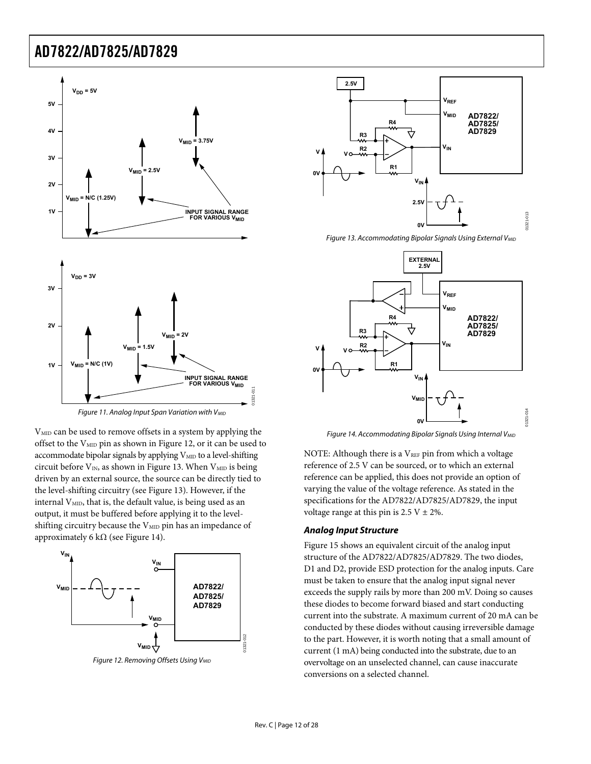<span id="page-11-2"></span>

<span id="page-11-3"></span><span id="page-11-0"></span>V<sub>MID</sub> can be used to remove offsets in a system by applying the offset to the  $V_{\text{MID}}$  pin as shown in [Figure 12,](#page-11-1) or it can be used to accommodate bipolar signals by applying  $V_{\text{MID}}$  to a level-shifting circuit before  $V_{IN}$ , as shown in [Figure 13.](#page-11-2) When  $V_{MID}$  is being driven by an external source, the source can be directly tied to the level-shifting circuitry (see [Figure 13](#page-11-2)). However, if the internal  $V<sub>MD</sub>$ , that is, the default value, is being used as an output, it must be buffered before applying it to the levelshifting circuitry because the  $V_{\text{MID}}$  pin has an impedance of approximately 6 kΩ (see [Figure 14\)](#page-11-3).



<span id="page-11-1"></span>Figure 12. Removing Offsets Using V<sub>MID</sub>



Figure 13. Accommodating Bipolar Signals Using External V<sub>MID</sub>



Figure 14. Accommodating Bipolar Signals Using Internal V<sub>MID</sub>

NOTE: Although there is a  $V_{REF}$  pin from which a voltage reference of 2.5 V can be sourced, or to which an external reference can be applied, this does not provide an option of varying the value of the voltage reference. As stated in the specifications for the AD7822/AD7825/AD7829, the input voltage range at this pin is  $2.5 V \pm 2\%$ .

#### **Analog Input Structure**

[Figure 15](#page-12-0) shows an equivalent circuit of the analog input structure of the AD7822/AD7825/AD7829. The two diodes, D1 and D2, provide ESD protection for the analog inputs. Care must be taken to ensure that the analog input signal never exceeds the supply rails by more than 200 mV. Doing so causes these diodes to become forward biased and start conducting current into the substrate. A maximum current of 20 mA can be conducted by these diodes without causing irreversible damage to the part. However, it is worth noting that a small amount of current (1 mA) being conducted into the substrate, due to an overvoltage on an unselected channel, can cause inaccurate conversions on a selected channel.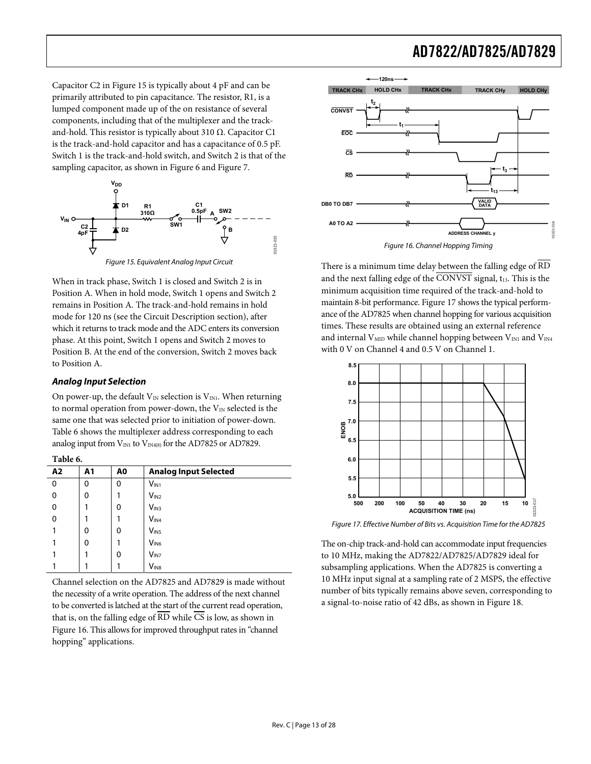Capacitor C2 in [Figure 15](#page-12-0) is typically about 4 pF and can be primarily attributed to pin capacitance. The resistor, R1, is a lumped component made up of the on resistance of several components, including that of the multiplexer and the trackand-hold. This resistor is typically about 310  $Ω$ . Capacitor C1 is the track-and-hold capacitor and has a capacitance of 0.5 pF. Switch 1 is the track-and-hold switch, and Switch 2 is that of the sampling capacitor, as shown in [Figure 6](#page-9-2) and [Figure 7.](#page-9-3)



Figure 15. Equivalent Analog Input Circuit

<span id="page-12-2"></span><span id="page-12-0"></span>When in track phase, Switch 1 is closed and Switch 2 is in Position A. When in hold mode, Switch 1 opens and Switch 2 remains in Position A. The track-and-hold remains in hold mode for 120 ns (see the [Circuit Description](#page-9-1) section), after which it returns to track mode and the ADC enters its conversion phase. At this point, Switch 1 opens and Switch 2 moves to Position B. At the end of the conversion, Switch 2 moves back to Position A.

### **Analog Input Selection**

On power-up, the default  $V_{IN}$  selection is  $V_{IN1}$ . When returning to normal operation from power-down, the  $V_{IN}$  selected is the same one that was selected prior to initiation of power-down. [Table 6](#page-12-1) shows the multiplexer address corresponding to each analog input from  $V_{IN1}$  to  $V_{IN4(8)}$  for the AD7825 or AD7829.

**Table 6.** 

<span id="page-12-3"></span><span id="page-12-1"></span>

| A2 | A1 | A0 | <b>Analog Input Selected</b> |
|----|----|----|------------------------------|
| 0  | 0  | 0  | $V_{IN1}$                    |
| 0  | 0  |    | V <sub>IN2</sub>             |
| 0  |    | 0  | V <sub>IN3</sub>             |
| 0  |    |    | V <sub>IN4</sub>             |
|    | 0  | 0  | V <sub>IN5</sub>             |
|    | 0  |    | V <sub>IN6</sub>             |
|    |    | 0  | $V_{IN7}$                    |
|    |    |    | $V_{IN8}$                    |

Channel selection on the AD7825 and AD7829 is made without the necessity of a write operation. The address of the next channel to be converted is latched at the start of the current read operation, that is, on the falling edge of RD while CS is low, as shown in [Figure 16](#page-12-2). This allows for improved throughput rates in "channel hopping" applications.



There is a minimum time delay between the falling edge of RD and the next falling edge of the CONVST signal, t<sub>13</sub>. This is the minimum acquisition time required of the track-and-hold to maintain 8-bit performance. [Figure 17](#page-12-3) shows the typical performance of the AD7825 when channel hopping for various acquisition times. These results are obtained using an external reference and internal  $V_{\text{MID}}$  while channel hopping between  $V_{\text{IN1}}$  and  $V_{\text{IN4}}$ with 0 V on Channel 4 and 0.5 V on Channel 1.



Figure 17. Effective Number of Bits vs. Acquisition Time for the AD7825

The on-chip track-and-hold can accommodate input frequencies to 10 MHz, making the AD7822/AD7825/AD7829 ideal for subsampling applications. When the AD7825 is converting a 10 MHz input signal at a sampling rate of 2 MSPS, the effective number of bits typically remains above seven, corresponding to a signal-to-noise ratio of 42 dBs, as shown in [Figure 18.](#page-13-1)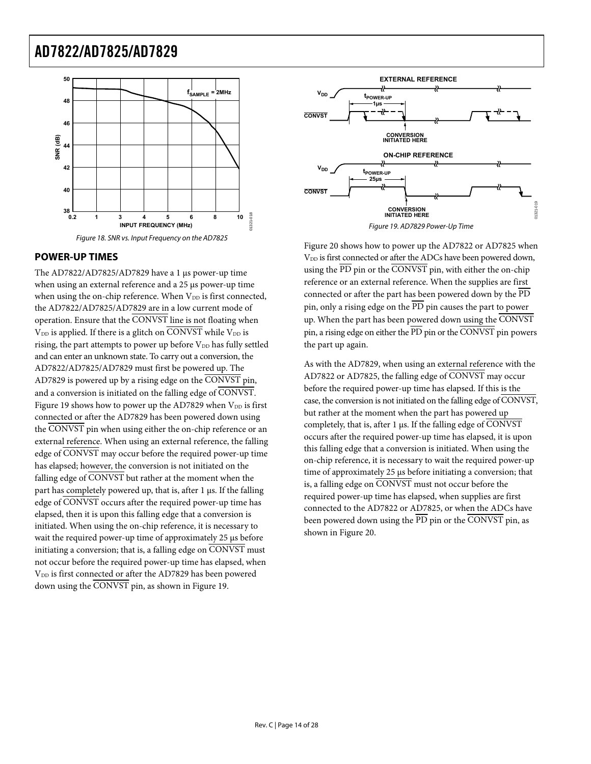<span id="page-13-0"></span>

### <span id="page-13-2"></span><span id="page-13-1"></span>**POWER-UP TIMES**

The AD7822/AD7825/AD7829 have a 1 μs power-up time when using an external reference and a 25 μs power-up time when using the on-chip reference. When  $V_{DD}$  is first connected, the AD7822/AD7825/AD7829 are in a low current mode of operation. Ensure that the CONVST line is not floating when  $V_{DD}$  is applied. If there is a glitch on  $\overline{CONVST}$  while  $V_{DD}$  is rising, the part attempts to power up before  $V_{DD}$  has fully settled and can enter an unknown state. To carry out a conversion, the AD7822/AD7825/AD7829 must first be powered up. The AD7829 is powered up by a rising edge on the CONVST pin, and a conversion is initiated on the falling edge of CONVST. [Figure 19](#page-13-2) shows how to power up the AD7829 when  $V_{DD}$  is first connected or after the AD7829 has been powered down using the CONVST pin when using either the on-chip reference or an external reference. When using an external reference, the falling edge of CONVST may occur before the required power-up time has elapsed; however, the conversion is not initiated on the falling edge of CONVST but rather at the moment when the part has completely powered up, that is, after 1 μs. If the falling edge of CONVST occurs after the required power-up time has elapsed, then it is upon this falling edge that a conversion is initiated. When using the on-chip reference, it is necessary to wait the required power-up time of approximately 25 μs before initiating a conversion; that is, a falling edge on CONVST must not occur before the required power-up time has elapsed, when V<sub>DD</sub> is first connected or after the AD7829 has been powered down using the CONVST pin, as shown in [Figure 19](#page-13-2).



Figure 19. AD7829 Power-Up Time

[Figure 20](#page-14-3) shows how to power up the AD7822 or AD7825 when V<sub>DD</sub> is first connected or after the ADCs have been powered down, using the PD pin or the CONVST pin, with either the on-chip reference or an external reference. When the supplies are first connected or after the part has been powered down by the PD pin, only a rising edge on the PD pin causes the part to power up. When the part has been powered down using the CONVST pin, a rising edge on either the PD pin or the CONVST pin powers the part up again.

As with the AD7829, when using an external reference with the AD7822 or AD7825, the falling edge of CONVST may occur before the required power-up time has elapsed. If this is the case, the conversion is not initiated on the falling edge of CONVST, but rather at the moment when the part has powered up completely, that is, after 1 μs. If the falling edge of  $\overline{\text{CONVST}}$ occurs after the required power-up time has elapsed, it is upon this falling edge that a conversion is initiated. When using the on-chip reference, it is necessary to wait the required power-up time of approximately 25 μs before initiating a conversion; that is, a falling edge on CONVST must not occur before the required power-up time has elapsed, when supplies are first connected to the AD7822 or AD7825, or when the ADCs have been powered down using the  $\overline{PD}$  pin or the  $\overline{CONVST}$  pin, as shown in [Figure 20](#page-14-3).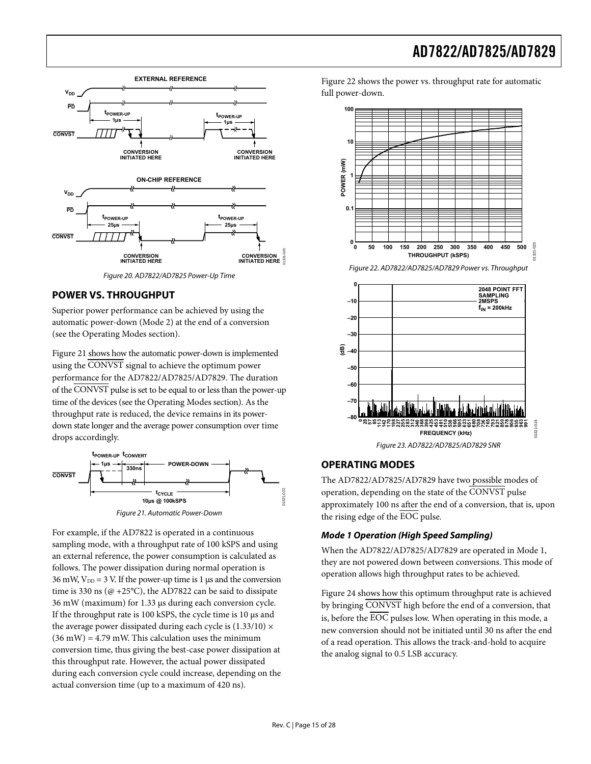<span id="page-14-1"></span>

Figure 20. AD7822/AD7825 Power-Up Time

### <span id="page-14-5"></span><span id="page-14-3"></span><span id="page-14-2"></span>**POWER VS. THROUGHPUT**

Superior power performance can be achieved by using the automatic power-down (Mode 2) at the end of a conversion (see the [Operating Modes](#page-14-0) section).

[Figure 21](#page-14-4) shows how the automatic power-down is implemented using the CONVST signal to achieve the optimum power performance for the AD7822/AD7825/AD7829. The duration of the CONVST pulse is set to be equal to or less than the power-up time of the devices (see the [Operating Modes](#page-14-0) section). As the throughput rate is reduced, the device remains in its powerdown state longer and the average power consumption over time drops accordingly.

<span id="page-14-0"></span>

<span id="page-14-4"></span>For example, if the AD7822 is operated in a continuous sampling mode, with a throughput rate of 100 kSPS and using an external reference, the power consumption is calculated as follows. The power dissipation during normal operation is 36 mW,  $V_{DD} = 3$  V. If the power-up time is 1 μs and the conversion time is 330 ns ( $@ +25°C$ ), the AD7822 can be said to dissipate 36 mW (maximum) for 1.33 μs during each conversion cycle. If the throughput rate is 100 kSPS, the cycle time is 10 μs and the average power dissipated during each cycle is  $(1.33/10) \times$  $(36 \text{ mW}) = 4.79 \text{ mW}$ . This calculation uses the minimum conversion time, thus giving the best-case power dissipation at this throughput rate. However, the actual power dissipated during each conversion cycle could increase, depending on the actual conversion time (up to a maximum of 420 ns).

[Figure 22](#page-14-5) shows the power vs. throughput rate for automatic full power-down.



### **OPERATING MODES**

**–80**

**–60 –70**

The AD7822/AD7825/AD7829 have two possible modes of operation, depending on the state of the CONVST pulse approximately 100 ns after the end of a conversion, that is, upon the rising edge of the EOC pulse.

**FREQUENCY (kHz)**

**906 935 963 991**

01321-024

 $24$ 

**0 113 142 170 198 227 255 283 312 340 368 396 425 453 481 510 538 566 595 623 651 680 708 736 765 793 821 850 878 28 57 85**

Figure 23. AD7822/AD7825/AD7829 SNR

### **Mode 1 Operation (High Speed Sampling)**

When the AD7822/AD7825/AD7829 are operated in Mode 1, they are not powered down between conversions. This mode of operation allows high throughput rates to be achieved.

[Figure 24](#page-15-0) shows how this optimum throughput rate is achieved by bringing CONVST high before the end of a conversion, that is, before the  $\overline{EOC}$  pulses low. When operating in this mode, a new conversion should not be initiated until 30 ns after the end of a read operation. This allows the track-and-hold to acquire the analog signal to 0.5 LSB accuracy.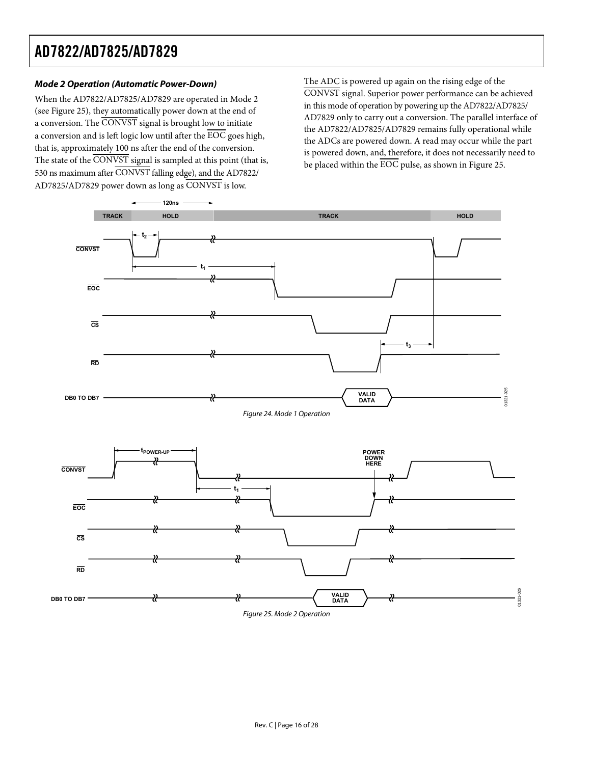### **Mode 2 Operation (Automatic Power-Down)**

When the AD7822/AD7825/AD7829 are operated in Mode 2 (see [Figure 25\)](#page-15-1), they automatically power down at the end of a conversion. The CONVST signal is brought low to initiate a conversion and is left logic low until after the  $\overline{\rm EOC}$  goes high, that is, approximately 100 ns after the end of the conversion. The state of the CONVST signal is sampled at this point (that is, 530 ns maximum after CONVST falling edge), and the AD7822/ AD7825/AD7829 power down as long as CONVST is low.

The ADC is powered up again on the rising edge of the CONVST signal. Superior power performance can be achieved in this mode of operation by powering up the AD7822/AD7825/ AD7829 only to carry out a conversion. The parallel interface of the AD7822/AD7825/AD7829 remains fully operational while the ADCs are powered down. A read may occur while the part is powered down, and, therefore, it does not necessarily need to be placed within the  $\overline{\text{EOC}}$  pulse, as shown in [Figure 25](#page-15-1).

<span id="page-15-1"></span><span id="page-15-0"></span>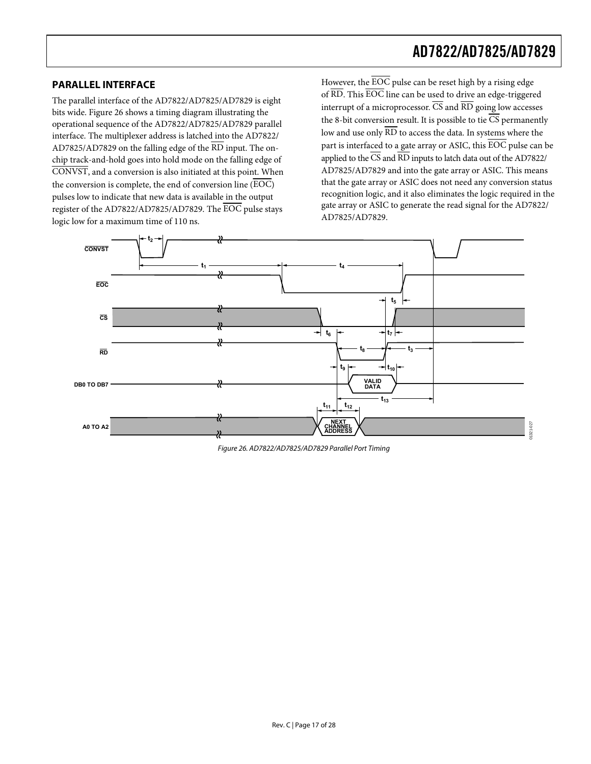### <span id="page-16-2"></span><span id="page-16-1"></span><span id="page-16-0"></span>**PARALLEL INTERFACE**

The parallel interface of the AD7822/AD7825/AD7829 is eight bits wide. [Figure 26](#page-16-3) shows a timing diagram illustrating the operational sequence of the AD7822/AD7825/AD7829 parallel interface. The multiplexer address is latched into the AD7822/ AD7825/AD7829 on the falling edge of the RD input. The onchip track-and-hold goes into hold mode on the falling edge of CONVST, and a conversion is also initiated at this point. When the conversion is complete, the end of conversion line (EOC) pulses low to indicate that new data is available in the output register of the AD7822/AD7825/AD7829. The EOC pulse stays logic low for a maximum time of 110 ns.

However, the  $\overline{\text{EOC}}$  pulse can be reset high by a rising edge of  $\overline{\text{RD}}$ . This  $\overline{\text{EOC}}$  line can be used to drive an edge-triggered interrupt of a microprocessor.  $\overline{\text{CS}}$  and  $\overline{\text{RD}}$  going low accesses the 8-bit conversion result. It is possible to tie  $\overline{CS}$  permanently low and use only  $\overline{\rm RD}$  to access the data. In systems where the part is interfaced to a gate array or ASIC, this EOC pulse can be applied to the  $\overline{\text{CS}}$  and  $\overline{\text{RD}}$  inputs to latch data out of the AD7822/ AD7825/AD7829 and into the gate array or ASIC. This means that the gate array or ASIC does not need any conversion status recognition logic, and it also eliminates the logic required in the gate array or ASIC to generate the read signal for the AD7822/ AD7825/AD7829.



<span id="page-16-3"></span>Figure 26. AD7822/AD7825/AD7829 Parallel Port Timing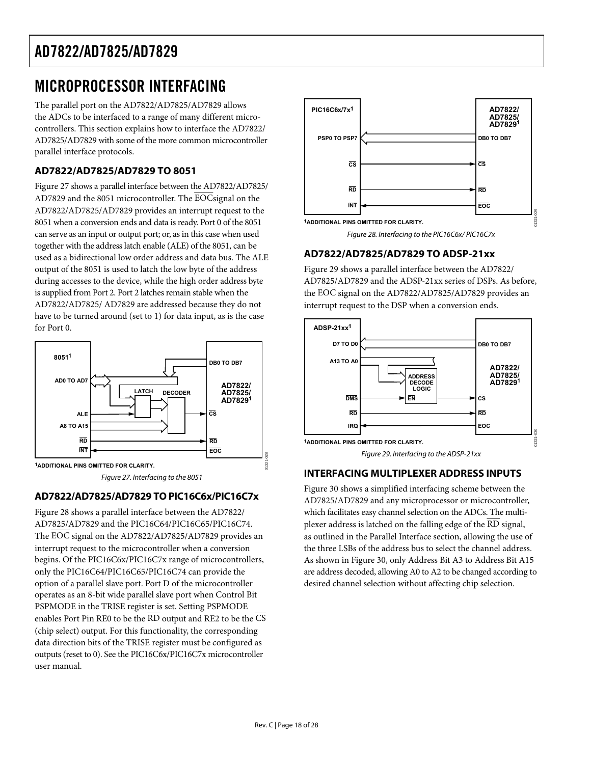## <span id="page-17-0"></span>MICROPROCESSOR INTERFACING

The parallel port on the AD7822/AD7825/AD7829 allows the ADCs to be interfaced to a range of many different microcontrollers. This section explains how to interface the AD7822/ AD7825/AD7829 with some of the more common microcontroller parallel interface protocols.

### **AD7822/AD7825/AD7829 TO 8051**

<span id="page-17-2"></span>[Figure 27](#page-17-1) shows a parallel interface between the AD7822/AD7825/ AD7829 and the 8051 microcontroller. The EOCsignal on the AD7822/AD7825/AD7829 provides an interrupt request to the 8051 when a conversion ends and data is ready. Port 0 of the 8051 can serve as an input or output port; or, as in this case when used together with the address latch enable (ALE) of the 8051, can be used as a bidirectional low order address and data bus. The ALE output of the 8051 is used to latch the low byte of the address during accesses to the device, while the high order address byte is supplied from Port 2. Port 2 latches remain stable when the AD7822/AD7825/ AD7829 are addressed because they do not have to be turned around (set to 1) for data input, as is the case for Port 0.



Figure 27. Interfacing to the 8051

### <span id="page-17-3"></span><span id="page-17-1"></span>**AD7822/AD7825/AD7829 TO PIC16C6x/PIC16C7x**

[Figure 28](#page-17-2) shows a parallel interface between the AD7822/ AD7825/AD7829 and the PIC16C64/PIC16C65/PIC16C74. The EOC signal on the AD7822/AD7825/AD7829 provides an interrupt request to the microcontroller when a conversion begins. Of the PIC16C6x/PIC16C7x range of microcontrollers, only the PIC16C64/PIC16C65/PIC16C74 can provide the option of a parallel slave port. Port D of the microcontroller operates as an 8-bit wide parallel slave port when Control Bit PSPMODE in the TRISE register is set. Setting PSPMODE enables Port Pin RE0 to be the RD output and RE2 to be the CS (chip select) output. For this functionality, the corresponding data direction bits of the TRISE register must be configured as outputs (reset to 0). See the PIC16C6x/PIC16C7x microcontroller user manual.



Figure 28. Interfacing to the PIC16C6x/ PIC16C7x

### **AD7822/AD7825/AD7829 TO ADSP-21xx**

[Figure 29](#page-17-3) shows a parallel interface between the AD7822/ AD7825/AD7829 and the ADSP-21xx series of DSPs. As before, the EOC signal on the AD7822/AD7825/AD7829 provides an interrupt request to the DSP when a conversion ends.



### **INTERFACING MULTIPLEXER ADDRESS INPUTS**

[Figure 30](#page-18-1) shows a simplified interfacing scheme between the AD7825/AD7829 and any microprocessor or microcontroller, which facilitates easy channel selection on the ADCs. The multiplexer address is latched on the falling edge of the RD signal, as outlined in the Parallel Interface section, allowing the use of the three LSBs of the address bus to select the channel address. As shown in [Figure 30,](#page-18-1) only Address Bit A3 to Address Bit A15 are address decoded, allowing A0 to A2 to be changed according to desired channel selection without affecting chip selection.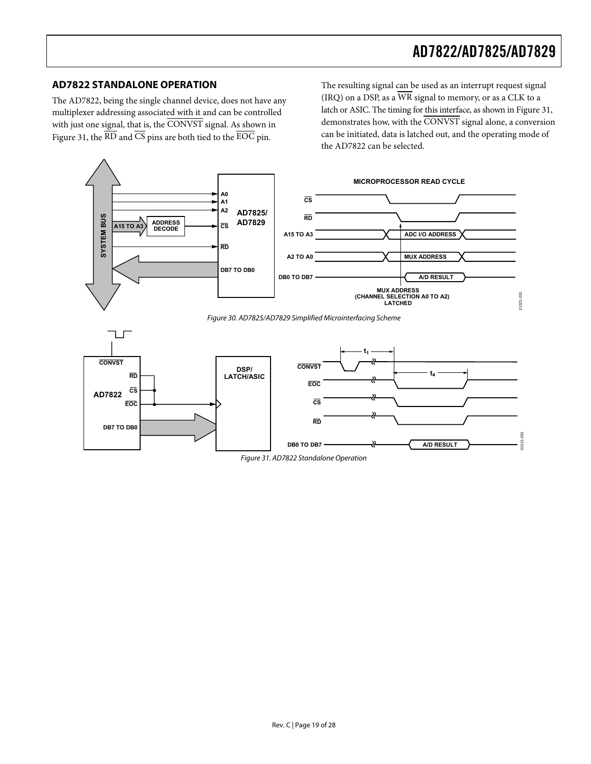### <span id="page-18-0"></span>**AD7822 STANDALONE OPERATION**

The AD7822, being the single channel device, does not have any multiplexer addressing associated with it and can be controlled with just one signal, that is, the CONVST signal. As shown in [Figure 31](#page-18-2), the  $\overline{\text{RD}}$  and  $\overline{\text{CS}}$  pins are both tied to the  $\overline{\text{EOC}}$  pin.

The resulting signal can be used as an interrupt request signal (IRQ) on a DSP, as a  $\overline{WR}$  signal to memory, or as a CLK to a latch or ASIC. The timing for this interface, as shown in [Figure 31](#page-18-2), demonstrates how, with the CONVST signal alone, a conversion can be initiated, data is latched out, and the operating mode of the AD7822 can be selected.

<span id="page-18-1"></span>

<span id="page-18-2"></span>Figure 31. AD7822 Standalone Operation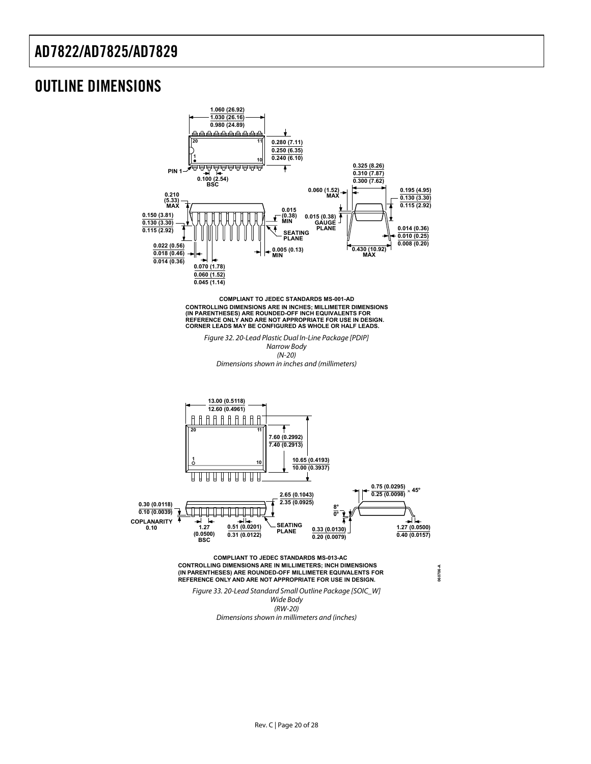### <span id="page-19-0"></span>OUTLINE DIMENSIONS



CONTROLLING DIMENSIONS ARE IN INCHES; MILLIMETER DIMENSIONS<br>(IN PARENTHESES) ARE ROUNDED-OFF INCH EQUIVALENTS FOR<br>REFERENCE ONLY AND ARE NOT APPROPRIATE FOR USE IN DESIGN.<br>CORNER LEADS MAY BE CONFIGURED AS WHOLE OR HALF LE **COMPLIANT TO JEDEC STANDARDS MS-001-AD**

Figure 32. 20-Lead Plastic Dual In-Line Package [PDIP] Narrow Body (N-20) Dimensions shown in inches and (millimeters)



(RW-20) Dimensions shown in millimeters and (inches)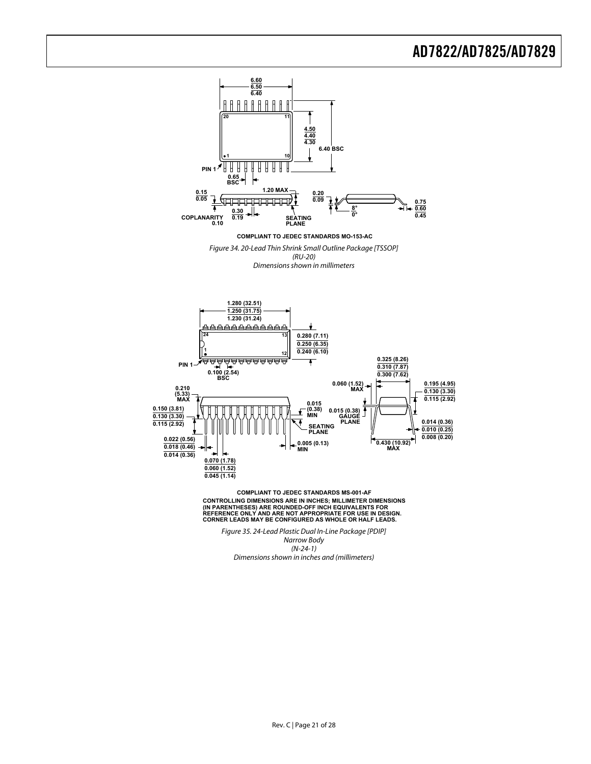

Figure 34. 20-Lead Thin Shrink Small Outline Package [TSSOP]

(RU-20)

Dimensions shown in millimeters



CONTROLLING DIMENSIONS ARE IN INCHES; MILLIMETER DIMENSIONS<br>(IN PARENTHESES) ARE ROUNDED-OFF INCH EQUIVALENTS FOR<br>REFERENCE ONLY AND ARE NOT APPROPRIATE FOR USE IN DESIGN.<br>CORNER LEADS MAY BE CONFIGURED AS WHOLE OR HALF LE **COMPLIANT TO JEDEC STANDARDS MS-001-AF**

Figure 35. 24-Lead Plastic Dual In-Line Package [PDIP] Narrow Body (N-24-1) Dimensions shown in inches and (millimeters)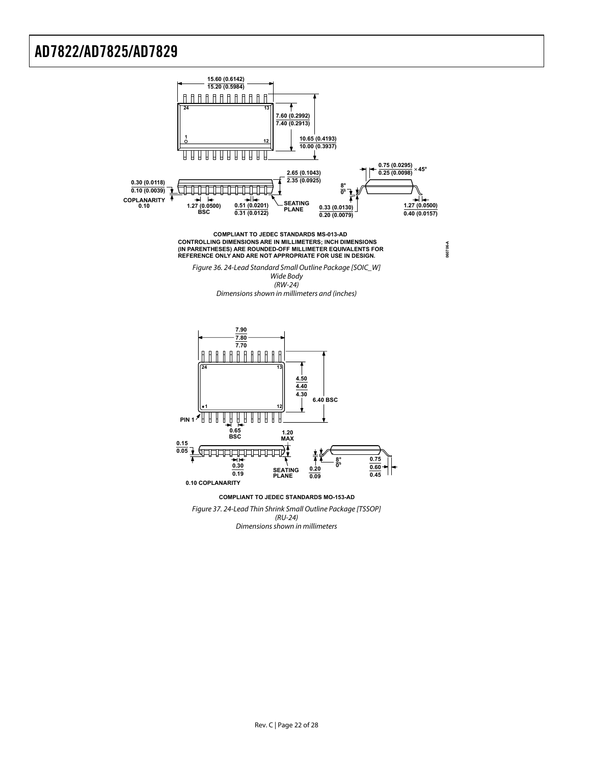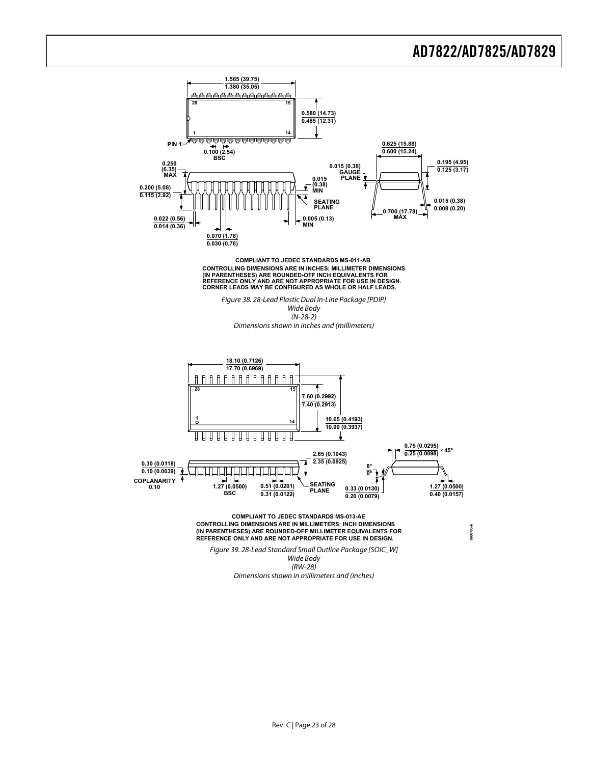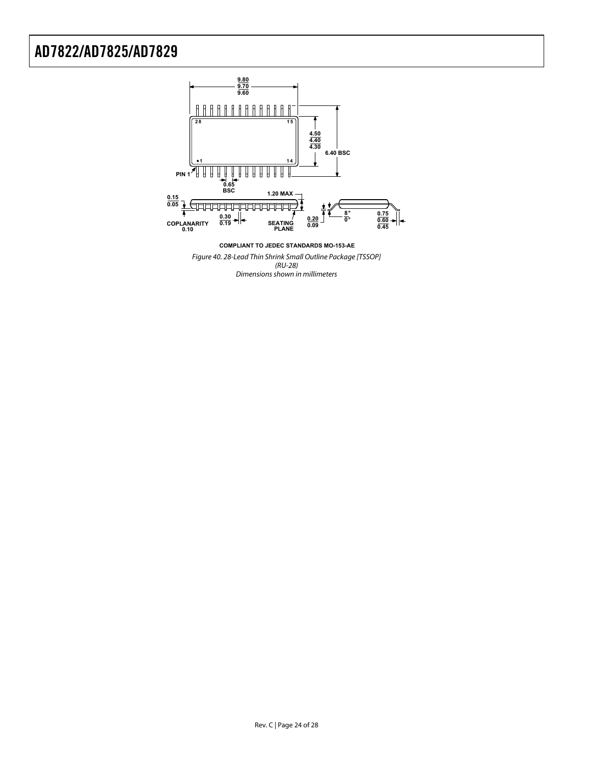

Figure 40. 28-Lead Thin Shrink Small Outline Package [TSSOP] (RU-28) Dimensions shown in millimeters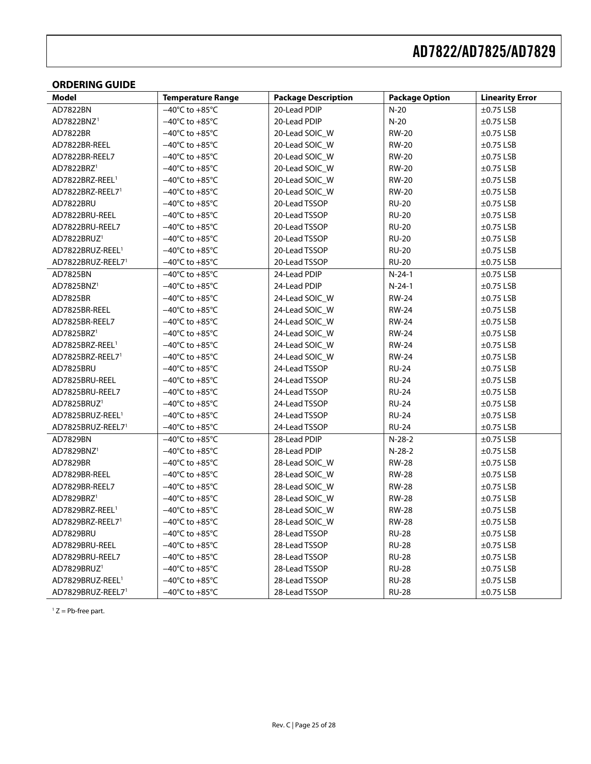#### <span id="page-24-0"></span>**ORDERING GUIDE**

<span id="page-24-1"></span>

| <b>Model</b>                 | <b>Temperature Range</b>           | <b>Package Description</b> | <b>Package Option</b> | <b>Linearity Error</b> |
|------------------------------|------------------------------------|----------------------------|-----------------------|------------------------|
| AD7822BN                     | $-40^{\circ}$ C to $+85^{\circ}$ C | 20-Lead PDIP               | $N-20$                | $\pm 0.75$ LSB         |
| AD7822BNZ <sup>1</sup>       | $-40^{\circ}$ C to $+85^{\circ}$ C | 20-Lead PDIP               | $N-20$                | $\pm 0.75$ LSB         |
| AD7822BR                     | $-40^{\circ}$ C to $+85^{\circ}$ C | 20-Lead SOIC_W             | <b>RW-20</b>          | $\pm$ 0.75 LSB         |
| AD7822BR-REEL                | $-40^{\circ}$ C to $+85^{\circ}$ C | 20-Lead SOIC_W             | <b>RW-20</b>          | $\pm$ 0.75 LSB         |
| AD7822BR-REEL7               | $-40^{\circ}$ C to $+85^{\circ}$ C | 20-Lead SOIC_W             | <b>RW-20</b>          | $\pm$ 0.75 LSB         |
| AD7822BRZ <sup>1</sup>       | $-40^{\circ}$ C to $+85^{\circ}$ C | 20-Lead SOIC_W             | <b>RW-20</b>          | $\pm$ 0.75 LSB         |
| AD7822BRZ-REEL <sup>1</sup>  | $-40^{\circ}$ C to $+85^{\circ}$ C | 20-Lead SOIC_W             | <b>RW-20</b>          | $\pm$ 0.75 LSB         |
| AD7822BRZ-REEL71             | $-40^{\circ}$ C to $+85^{\circ}$ C | 20-Lead SOIC_W             | <b>RW-20</b>          | $\pm$ 0.75 LSB         |
| AD7822BRU                    | $-40^{\circ}$ C to $+85^{\circ}$ C | 20-Lead TSSOP              | <b>RU-20</b>          | $\pm$ 0.75 LSB         |
| AD7822BRU-REEL               | $-40^{\circ}$ C to $+85^{\circ}$ C | 20-Lead TSSOP              | <b>RU-20</b>          | $\pm$ 0.75 LSB         |
| AD7822BRU-REEL7              | $-40^{\circ}$ C to $+85^{\circ}$ C | 20-Lead TSSOP              | <b>RU-20</b>          | $\pm$ 0.75 LSB         |
| AD7822BRUZ <sup>1</sup>      | $-40^{\circ}$ C to $+85^{\circ}$ C | 20-Lead TSSOP              | <b>RU-20</b>          | $\pm$ 0.75 LSB         |
| AD7822BRUZ-REEL <sup>1</sup> | $-40^{\circ}$ C to $+85^{\circ}$ C | 20-Lead TSSOP              | <b>RU-20</b>          | $\pm$ 0.75 LSB         |
| AD7822BRUZ-REEL71            | $-40^{\circ}$ C to $+85^{\circ}$ C | 20-Lead TSSOP              | <b>RU-20</b>          | $\pm$ 0.75 LSB         |
| AD7825BN                     | $-40^{\circ}$ C to $+85^{\circ}$ C | 24-Lead PDIP               | $N-24-1$              | $\pm$ 0.75 LSB         |
| AD7825BNZ <sup>1</sup>       | $-40^{\circ}$ C to $+85^{\circ}$ C | 24-Lead PDIP               | $N-24-1$              | $\pm$ 0.75 LSB         |
| AD7825BR                     | $-40^{\circ}$ C to $+85^{\circ}$ C | 24-Lead SOIC_W             | <b>RW-24</b>          | $\pm$ 0.75 LSB         |
| AD7825BR-REEL                | $-40^{\circ}$ C to $+85^{\circ}$ C | 24-Lead SOIC_W             | <b>RW-24</b>          | $\pm$ 0.75 LSB         |
| AD7825BR-REEL7               | $-40^{\circ}$ C to $+85^{\circ}$ C | 24-Lead SOIC_W             | <b>RW-24</b>          | $\pm$ 0.75 LSB         |
| AD7825BRZ <sup>1</sup>       | $-40^{\circ}$ C to $+85^{\circ}$ C | 24-Lead SOIC_W             | <b>RW-24</b>          | $\pm$ 0.75 LSB         |
| AD7825BRZ-REEL <sup>1</sup>  | $-40^{\circ}$ C to $+85^{\circ}$ C | 24-Lead SOIC_W             | <b>RW-24</b>          | $\pm$ 0.75 LSB         |
| AD7825BRZ-REEL71             | $-40^{\circ}$ C to $+85^{\circ}$ C | 24-Lead SOIC_W             | <b>RW-24</b>          | $\pm$ 0.75 LSB         |
| AD7825BRU                    | $-40^{\circ}$ C to $+85^{\circ}$ C | 24-Lead TSSOP              | <b>RU-24</b>          | $\pm$ 0.75 LSB         |
| AD7825BRU-REEL               | $-40^{\circ}$ C to $+85^{\circ}$ C | 24-Lead TSSOP              | <b>RU-24</b>          | $\pm$ 0.75 LSB         |
| AD7825BRU-REEL7              | $-40^{\circ}$ C to $+85^{\circ}$ C | 24-Lead TSSOP              | <b>RU-24</b>          | $\pm$ 0.75 LSB         |
| AD7825BRUZ <sup>1</sup>      | $-40^{\circ}$ C to $+85^{\circ}$ C | 24-Lead TSSOP              | <b>RU-24</b>          | $\pm$ 0.75 LSB         |
| AD7825BRUZ-REEL <sup>1</sup> | $-40^{\circ}$ C to $+85^{\circ}$ C | 24-Lead TSSOP              | <b>RU-24</b>          | $\pm$ 0.75 LSB         |
| AD7825BRUZ-REEL71            | $-40^{\circ}$ C to $+85^{\circ}$ C | 24-Lead TSSOP              | <b>RU-24</b>          | $\pm$ 0.75 LSB         |
| AD7829BN                     | $-40^{\circ}$ C to $+85^{\circ}$ C | 28-Lead PDIP               | $N-28-2$              | $\pm$ 0.75 LSB         |
| AD7829BNZ <sup>1</sup>       | $-40^{\circ}$ C to $+85^{\circ}$ C | 28-Lead PDIP               | $N-28-2$              | $\pm$ 0.75 LSB         |
| AD7829BR                     | $-40^{\circ}$ C to $+85^{\circ}$ C | 28-Lead SOIC_W             | <b>RW-28</b>          | $\pm$ 0.75 LSB         |
| AD7829BR-REEL                | $-40^{\circ}$ C to $+85^{\circ}$ C | 28-Lead SOIC_W             | <b>RW-28</b>          | $\pm$ 0.75 LSB         |
| AD7829BR-REEL7               | $-40^{\circ}$ C to $+85^{\circ}$ C | 28-Lead SOIC_W             | <b>RW-28</b>          | $\pm$ 0.75 LSB         |
| AD7829BRZ <sup>1</sup>       | $-40^{\circ}$ C to $+85^{\circ}$ C | 28-Lead SOIC_W             | <b>RW-28</b>          | $\pm$ 0.75 LSB         |
| AD7829BRZ-REEL <sup>1</sup>  | $-40^{\circ}$ C to $+85^{\circ}$ C | 28-Lead SOIC_W             | <b>RW-28</b>          | $\pm$ 0.75 LSB         |
| AD7829BRZ-REEL71             | $-40^{\circ}$ C to $+85^{\circ}$ C | 28-Lead SOIC_W             | <b>RW-28</b>          | $\pm$ 0.75 LSB         |
| AD7829BRU                    | $-40^{\circ}$ C to $+85^{\circ}$ C | 28-Lead TSSOP              | <b>RU-28</b>          | $\pm$ 0.75 LSB         |
| AD7829BRU-REEL               | $-40^{\circ}$ C to $+85^{\circ}$ C | 28-Lead TSSOP              | <b>RU-28</b>          | $\pm$ 0.75 LSB         |
| AD7829BRU-REEL7              | $-40^{\circ}$ C to $+85^{\circ}$ C | 28-Lead TSSOP              | <b>RU-28</b>          | $\pm$ 0.75 LSB         |
| AD7829BRUZ <sup>1</sup>      | $-40^{\circ}$ C to $+85^{\circ}$ C | 28-Lead TSSOP              | <b>RU-28</b>          | $\pm$ 0.75 LSB         |
| AD7829BRUZ-REEL <sup>1</sup> | $-40^{\circ}$ C to $+85^{\circ}$ C | 28-Lead TSSOP              | <b>RU-28</b>          | $\pm$ 0.75 LSB         |
| AD7829BRUZ-REEL71            | $-40^{\circ}$ C to $+85^{\circ}$ C | 28-Lead TSSOP              | <b>RU-28</b>          | $\pm$ 0.75 LSB         |

 $1 Z = Pb$ -free part.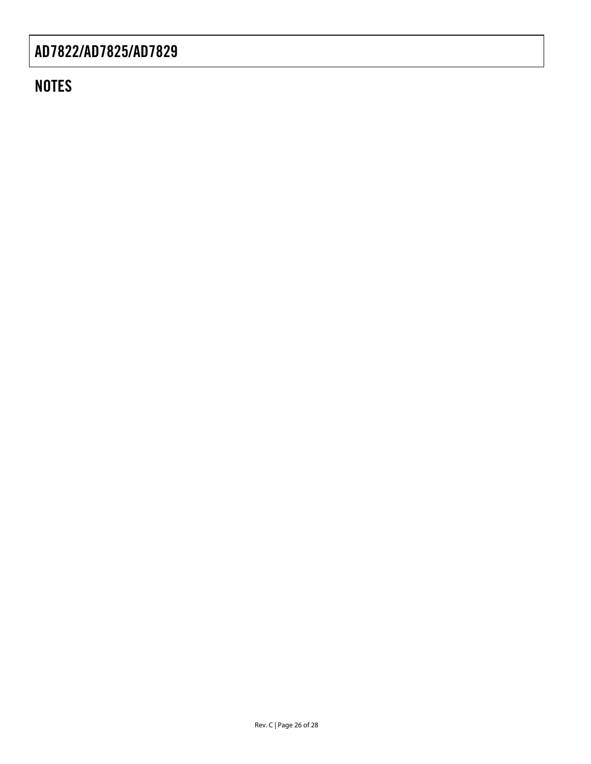## **NOTES**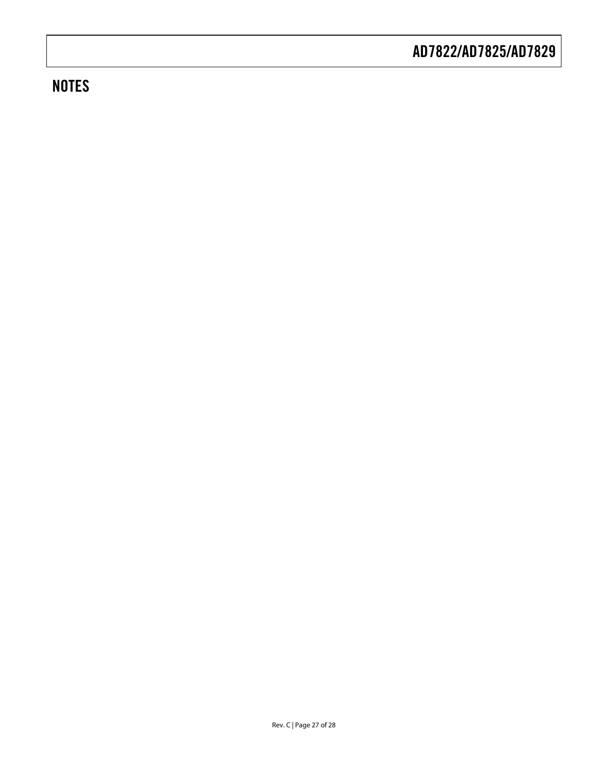## **NOTES**